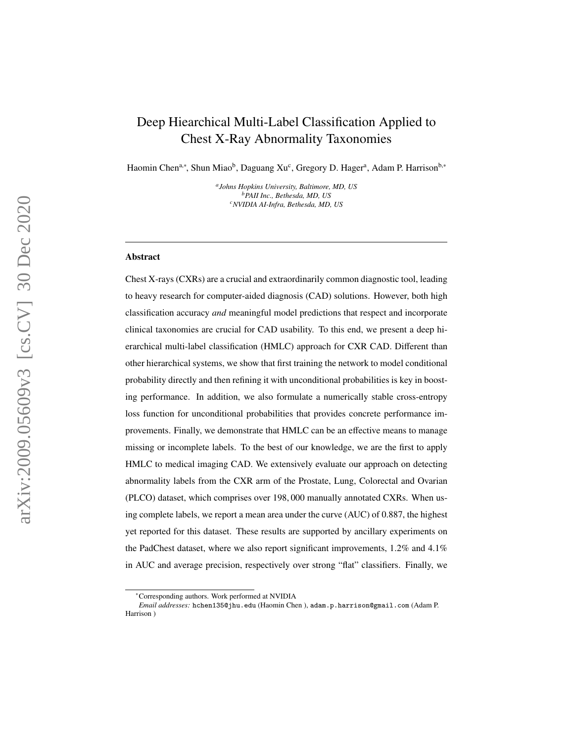# Deep Hiearchical Multi-Label Classification Applied to Chest X-Ray Abnormality Taxonomies

Haomin Chen<sup>a,\*</sup>, Shun Miao<sup>b</sup>, Daguang Xu<sup>c</sup>, Gregory D. Hager<sup>a</sup>, Adam P. Harrison<sup>b,\*</sup>

*a Johns Hopkins University, Baltimore, MD, US <sup>b</sup>PAII Inc., Bethesda, MD, US <sup>c</sup>NVIDIA AI-Infra, Bethesda, MD, US*

#### Abstract

Chest X-rays (CXRs) are a crucial and extraordinarily common diagnostic tool, leading to heavy research for computer-aided diagnosis (CAD) solutions. However, both high classification accuracy *and* meaningful model predictions that respect and incorporate clinical taxonomies are crucial for CAD usability. To this end, we present a deep hierarchical multi-label classification (HMLC) approach for CXR CAD. Different than other hierarchical systems, we show that first training the network to model conditional probability directly and then refining it with unconditional probabilities is key in boosting performance. In addition, we also formulate a numerically stable cross-entropy loss function for unconditional probabilities that provides concrete performance improvements. Finally, we demonstrate that HMLC can be an effective means to manage missing or incomplete labels. To the best of our knowledge, we are the first to apply HMLC to medical imaging CAD. We extensively evaluate our approach on detecting abnormality labels from the CXR arm of the Prostate, Lung, Colorectal and Ovarian (PLCO) dataset, which comprises over 198 , 000 manually annotated CXRs. When using complete labels, we report a mean area under the curve (AUC) of 0.887, the highest yet reported for this dataset. These results are supported by ancillary experiments on the PadChest dataset, where we also report significant improvements, 1.2% and 4.1% in AUC and average precision, respectively over strong "flat" classifiers. Finally, we

<sup>∗</sup>Corresponding authors. Work performed at NVIDIA

*Email addresses:* hchen135@jhu.edu (Haomin Chen ), adam.p.harrison@gmail.com (Adam P. Harrison )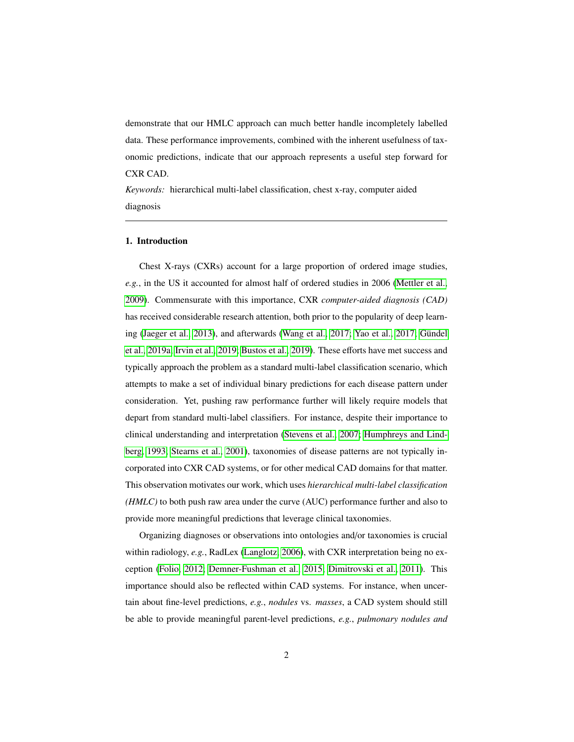demonstrate that our HMLC approach can much better handle incompletely labelled data. These performance improvements, combined with the inherent usefulness of taxonomic predictions, indicate that our approach represents a useful step forward for CXR CAD.

*Keywords:* hierarchical multi-label classification, chest x-ray, computer aided diagnosis

## 1. Introduction

Chest X-rays (CXRs) account for a large proportion of ordered image studies, *e.g.*, in the US it accounted for almost half of ordered studies in 2006 [\(Mettler et al.,](#page-30-0) [2009\)](#page-30-0). Commensurate with this importance, CXR *computer-aided diagnosis (CAD)* has received considerable research attention, both prior to the popularity of deep learn-ing [\(Jaeger et al., 2013\)](#page-28-0), and afterwards [\(Wang et al., 2017;](#page-31-0) [Yao et al., 2017;](#page-32-0) Gündel [et al., 2019a;](#page-27-0) [Irvin et al., 2019;](#page-28-1) [Bustos et al., 2019\)](#page-25-0). These efforts have met success and typically approach the problem as a standard multi-label classification scenario, which attempts to make a set of individual binary predictions for each disease pattern under consideration. Yet, pushing raw performance further will likely require models that depart from standard multi-label classifiers. For instance, despite their importance to clinical understanding and interpretation [\(Stevens et al., 2007;](#page-31-1) [Humphreys and Lind](#page-28-2)[berg, 1993;](#page-28-2) [Stearns et al., 2001\)](#page-30-1), taxonomies of disease patterns are not typically incorporated into CXR CAD systems, or for other medical CAD domains for that matter. This observation motivates our work, which uses *hierarchical multi-label classification (HMLC)* to both push raw area under the curve (AUC) performance further and also to provide more meaningful predictions that leverage clinical taxonomies.

Organizing diagnoses or observations into ontologies and/or taxonomies is crucial within radiology, *e.g.*, RadLex [\(Langlotz, 2006\)](#page-29-0), with CXR interpretation being no exception [\(Folio, 2012;](#page-27-1) [Demner-Fushman et al., 2015;](#page-26-0) [Dimitrovski et al., 2011\)](#page-26-1). This importance should also be reflected within CAD systems. For instance, when uncertain about fine-level predictions, *e.g.*, *nodules* vs. *masses*, a CAD system should still be able to provide meaningful parent-level predictions, *e.g.*, *pulmonary nodules and*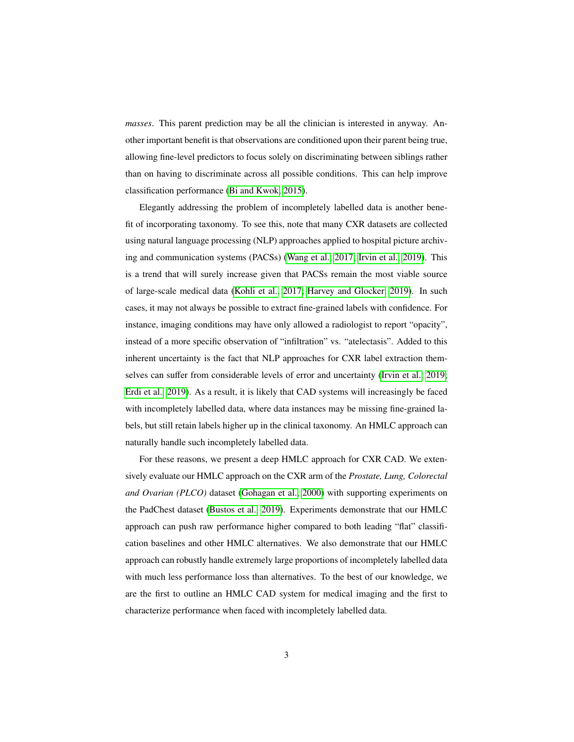*masses*. This parent prediction may be all the clinician is interested in anyway. Another important benefit is that observations are conditioned upon their parent being true, allowing fine-level predictors to focus solely on discriminating between siblings rather than on having to discriminate across all possible conditions. This can help improve classification performance [\(Bi and Kwok, 2015\)](#page-25-1).

Elegantly addressing the problem of incompletely labelled data is another benefit of incorporating taxonomy. To see this, note that many CXR datasets are collected using natural language processing (NLP) approaches applied to hospital picture archiving and communication systems (PACSs) [\(Wang et al., 2017;](#page-31-0) [Irvin et al., 2019\)](#page-28-1). This is a trend that will surely increase given that PACSs remain the most viable source of large-scale medical data [\(Kohli et al., 2017;](#page-29-1) [Harvey and Glocker, 2019\)](#page-28-3). In such cases, it may not always be possible to extract fine-grained labels with confidence. For instance, imaging conditions may have only allowed a radiologist to report "opacity", instead of a more specific observation of "infiltration" vs. "atelectasis". Added to this inherent uncertainty is the fact that NLP approaches for CXR label extraction themselves can suffer from considerable levels of error and uncertainty [\(Irvin et al., 2019;](#page-28-1) [Erdi et al., 2019\)](#page-27-2). As a result, it is likely that CAD systems will increasingly be faced with incompletely labelled data, where data instances may be missing fine-grained labels, but still retain labels higher up in the clinical taxonomy. An HMLC approach can naturally handle such incompletely labelled data.

For these reasons, we present a deep HMLC approach for CXR CAD. We extensively evaluate our HMLC approach on the CXR arm of the *Prostate, Lung, Colorectal and Ovarian (PLCO)* dataset [\(Gohagan et al., 2000\)](#page-27-3) with supporting experiments on the PadChest dataset [\(Bustos et al., 2019\)](#page-25-0). Experiments demonstrate that our HMLC approach can push raw performance higher compared to both leading "flat" classification baselines and other HMLC alternatives. We also demonstrate that our HMLC approach can robustly handle extremely large proportions of incompletely labelled data with much less performance loss than alternatives. To the best of our knowledge, we are the first to outline an HMLC CAD system for medical imaging and the first to characterize performance when faced with incompletely labelled data.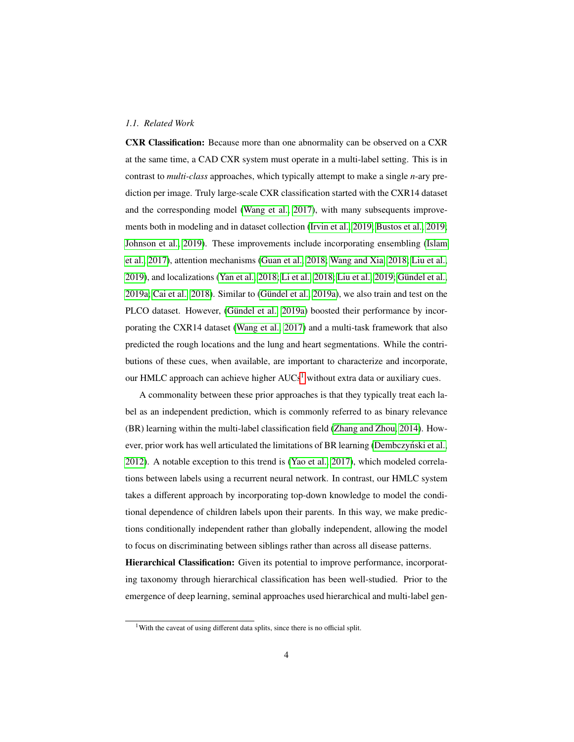## *1.1. Related Work*

CXR Classification: Because more than one abnormality can be observed on a CXR at the same time, a CAD CXR system must operate in a multi-label setting. This is in contrast to *multi-class* approaches, which typically attempt to make a single *n*-ary prediction per image. Truly large-scale CXR classification started with the CXR14 dataset and the corresponding model [\(Wang et al., 2017\)](#page-31-0), with many subsequents improvements both in modeling and in dataset collection [\(Irvin et al., 2019;](#page-28-1) [Bustos et al., 2019;](#page-25-0) [Johnson et al., 2019\)](#page-28-4). These improvements include incorporating ensembling [\(Islam](#page-28-5) [et al., 2017\)](#page-28-5), attention mechanisms [\(Guan et al., 2018;](#page-27-4) [Wang and Xia, 2018;](#page-31-2) [Liu et al.,](#page-29-2) [2019\)](#page-29-2), and localizations [\(Yan et al., 2018;](#page-31-3) [Li et al., 2018;](#page-29-3) [Liu et al., 2019;](#page-29-2) Gündel et al.,  $2019a$ ; Cai et al.,  $2018$ ). Similar to (Gündel et al.,  $2019a$ ), we also train and test on the PLCO dataset. However, (Gündel et al., 2019a) boosted their performance by incorporating the CXR14 dataset [\(Wang et al., 2017\)](#page-31-0) and a multi-task framework that also predicted the rough locations and the lung and heart segmentations. While the contributions of these cues, when available, are important to characterize and incorporate, our HMLC approach can achieve higher  $AUCs<sup>1</sup>$  $AUCs<sup>1</sup>$  $AUCs<sup>1</sup>$  without extra data or auxiliary cues.

A commonality between these prior approaches is that they typically treat each label as an independent prediction, which is commonly referred to as binary relevance (BR) learning within the multi-label classification field [\(Zhang and Zhou, 2014\)](#page-32-1). How-ever, prior work has well articulated the limitations of BR learning [\(Dembczynski et al.,](#page-26-2) [2012\)](#page-26-2). A notable exception to this trend is [\(Yao et al., 2017\)](#page-32-0), which modeled correlations between labels using a recurrent neural network. In contrast, our HMLC system takes a different approach by incorporating top-down knowledge to model the conditional dependence of children labels upon their parents. In this way, we make predictions conditionally independent rather than globally independent, allowing the model to focus on discriminating between siblings rather than across all disease patterns.

Hierarchical Classification: Given its potential to improve performance, incorporating taxonomy through hierarchical classification has been well-studied. Prior to the emergence of deep learning, seminal approaches used hierarchical and multi-label gen-

<span id="page-3-0"></span><sup>&</sup>lt;sup>1</sup>With the caveat of using different data splits, since there is no official split.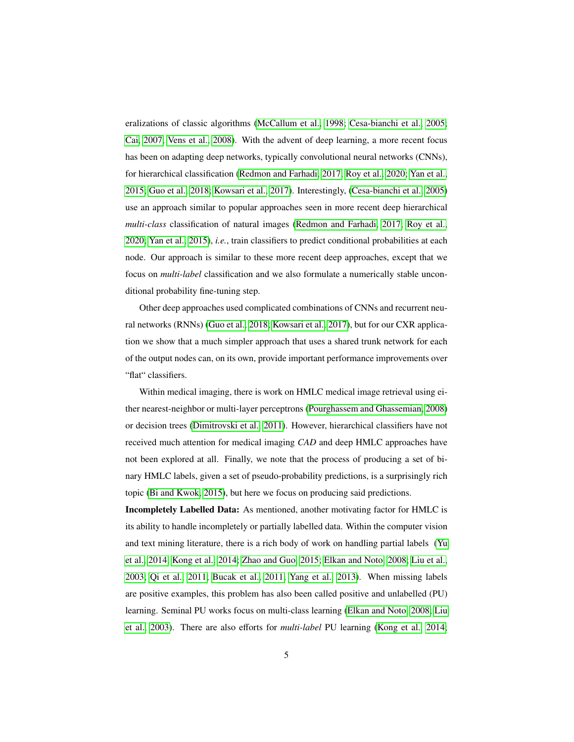eralizations of classic algorithms [\(McCallum et al., 1998;](#page-29-4) [Cesa-bianchi et al., 2005;](#page-26-3) [Cai, 2007;](#page-26-4) [Vens et al., 2008\)](#page-31-4). With the advent of deep learning, a more recent focus has been on adapting deep networks, typically convolutional neural networks (CNNs), for hierarchical classification [\(Redmon and Farhadi, 2017;](#page-30-2) [Roy et al., 2020;](#page-30-3) [Yan et al.,](#page-31-5) [2015;](#page-31-5) [Guo et al., 2018;](#page-28-6) [Kowsari et al., 2017\)](#page-29-5). Interestingly, [\(Cesa-bianchi et al., 2005\)](#page-26-3) use an approach similar to popular approaches seen in more recent deep hierarchical *multi-class* classification of natural images [\(Redmon and Farhadi, 2017;](#page-30-2) [Roy et al.,](#page-30-3) [2020;](#page-30-3) [Yan et al., 2015\)](#page-31-5), *i.e.*, train classifiers to predict conditional probabilities at each node. Our approach is similar to these more recent deep approaches, except that we focus on *multi-label* classification and we also formulate a numerically stable unconditional probability fine-tuning step.

Other deep approaches used complicated combinations of CNNs and recurrent neural networks (RNNs) [\(Guo et al., 2018;](#page-28-6) [Kowsari et al., 2017\)](#page-29-5), but for our CXR application we show that a much simpler approach that uses a shared trunk network for each of the output nodes can, on its own, provide important performance improvements over "flat" classifiers.

Within medical imaging, there is work on HMLC medical image retrieval using either nearest-neighbor or multi-layer perceptrons [\(Pourghassem and Ghassemian, 2008\)](#page-30-4) or decision trees [\(Dimitrovski et al., 2011\)](#page-26-1). However, hierarchical classifiers have not received much attention for medical imaging *CAD* and deep HMLC approaches have not been explored at all. Finally, we note that the process of producing a set of binary HMLC labels, given a set of pseudo-probability predictions, is a surprisingly rich topic [\(Bi and Kwok, 2015\)](#page-25-1), but here we focus on producing said predictions.

Incompletely Labelled Data: As mentioned, another motivating factor for HMLC is its ability to handle incompletely or partially labelled data. Within the computer vision and text mining literature, there is a rich body of work on handling partial labels [\(Yu](#page-32-2) [et al., 2014;](#page-32-2) [Kong et al., 2014;](#page-29-6) [Zhao and Guo, 2015;](#page-32-3) [Elkan and Noto, 2008;](#page-27-5) [Liu et al.,](#page-29-7) [2003;](#page-29-7) [Qi et al., 2011;](#page-30-5) [Bucak et al., 2011;](#page-25-3) [Yang et al., 2013\)](#page-31-6). When missing labels are positive examples, this problem has also been called positive and unlabelled (PU) learning. Seminal PU works focus on multi-class learning [\(Elkan and Noto, 2008;](#page-27-5) [Liu](#page-29-7) [et al., 2003\)](#page-29-7). There are also efforts for *multi-label* PU learning [\(Kong et al., 2014;](#page-29-6)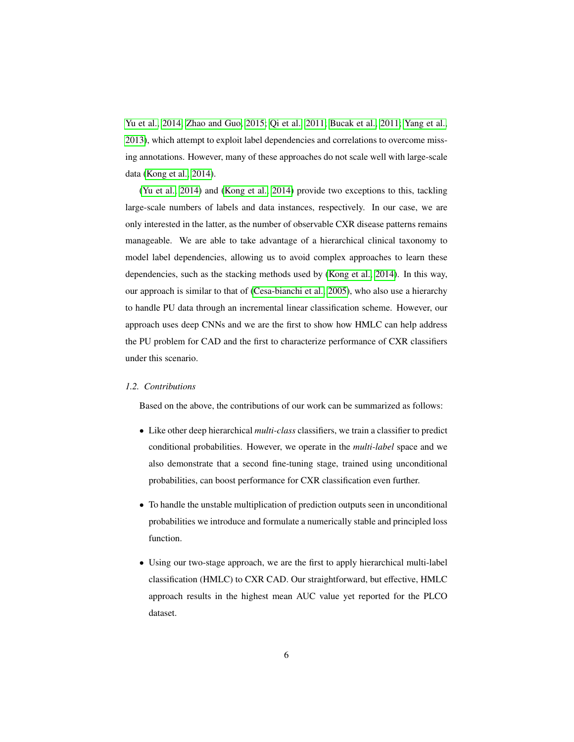[Yu et al., 2014;](#page-32-2) [Zhao and Guo, 2015;](#page-32-3) [Qi et al., 2011;](#page-30-5) [Bucak et al., 2011;](#page-25-3) [Yang et al.,](#page-31-6) [2013\)](#page-31-6), which attempt to exploit label dependencies and correlations to overcome missing annotations. However, many of these approaches do not scale well with large-scale data [\(Kong et al., 2014\)](#page-29-6).

[\(Yu et al., 2014\)](#page-32-2) and [\(Kong et al., 2014\)](#page-29-6) provide two exceptions to this, tackling large-scale numbers of labels and data instances, respectively. In our case, we are only interested in the latter, as the number of observable CXR disease patterns remains manageable. We are able to take advantage of a hierarchical clinical taxonomy to model label dependencies, allowing us to avoid complex approaches to learn these dependencies, such as the stacking methods used by [\(Kong et al., 2014\)](#page-29-6). In this way, our approach is similar to that of [\(Cesa-bianchi et al., 2005\)](#page-26-3), who also use a hierarchy to handle PU data through an incremental linear classification scheme. However, our approach uses deep CNNs and we are the first to show how HMLC can help address the PU problem for CAD and the first to characterize performance of CXR classifiers under this scenario.

## *1.2. Contributions*

Based on the above, the contributions of our work can be summarized as follows:

- Like other deep hierarchical *multi-class* classifiers, we train a classifier to predict conditional probabilities. However, we operate in the *multi-label* space and we also demonstrate that a second fine-tuning stage, trained using unconditional probabilities, can boost performance for CXR classification even further.
- To handle the unstable multiplication of prediction outputs seen in unconditional probabilities we introduce and formulate a numerically stable and principled loss function.
- Using our two-stage approach, we are the first to apply hierarchical multi-label classification (HMLC) to CXR CAD. Our straightforward, but effective, HMLC approach results in the highest mean AUC value yet reported for the PLCO dataset.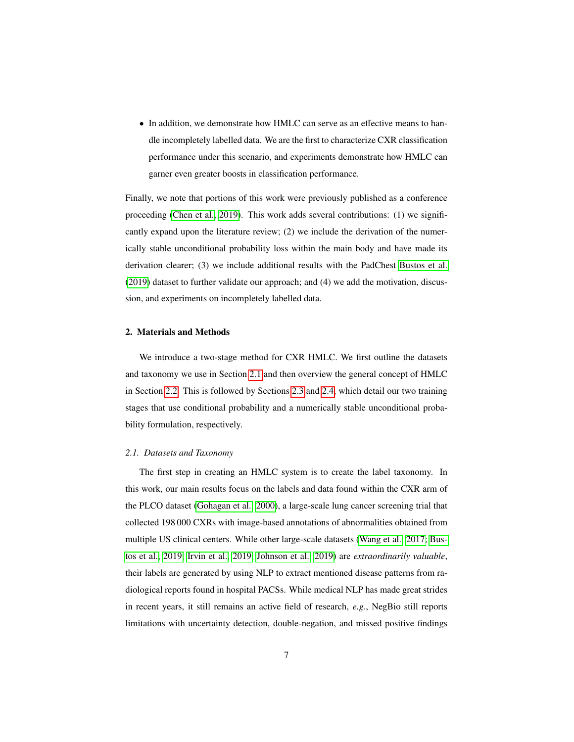• In addition, we demonstrate how HMLC can serve as an effective means to handle incompletely labelled data. We are the first to characterize CXR classification performance under this scenario, and experiments demonstrate how HMLC can garner even greater boosts in classification performance.

Finally, we note that portions of this work were previously published as a conference proceeding [\(Chen et al., 2019\)](#page-26-5). This work adds several contributions: (1) we significantly expand upon the literature review; (2) we include the derivation of the numerically stable unconditional probability loss within the main body and have made its derivation clearer; (3) we include additional results with the PadChest [Bustos et al.](#page-25-0) [\(2019\)](#page-25-0) dataset to further validate our approach; and (4) we add the motivation, discussion, and experiments on incompletely labelled data.

#### 2. Materials and Methods

We introduce a two-stage method for CXR HMLC. We first outline the datasets and taxonomy we use in Section [2.1](#page-6-0) and then overview the general concept of HMLC in Section [2.2.](#page-9-0) This is followed by Sections [2.3](#page-10-0) and [2.4,](#page-11-0) which detail our two training stages that use conditional probability and a numerically stable unconditional probability formulation, respectively.

#### <span id="page-6-0"></span>*2.1. Datasets and Taxonomy*

The first step in creating an HMLC system is to create the label taxonomy. In this work, our main results focus on the labels and data found within the CXR arm of the PLCO dataset [\(Gohagan et al., 2000\)](#page-27-3), a large-scale lung cancer screening trial that collected 198 000 CXRs with image-based annotations of abnormalities obtained from multiple US clinical centers. While other large-scale datasets [\(Wang et al., 2017;](#page-31-0) [Bus](#page-25-0)[tos et al., 2019;](#page-25-0) [Irvin et al., 2019;](#page-28-1) [Johnson et al., 2019\)](#page-28-4) are *extraordinarily valuable*, their labels are generated by using NLP to extract mentioned disease patterns from radiological reports found in hospital PACSs. While medical NLP has made great strides in recent years, it still remains an active field of research, *e.g.*, NegBio still reports limitations with uncertainty detection, double-negation, and missed positive findings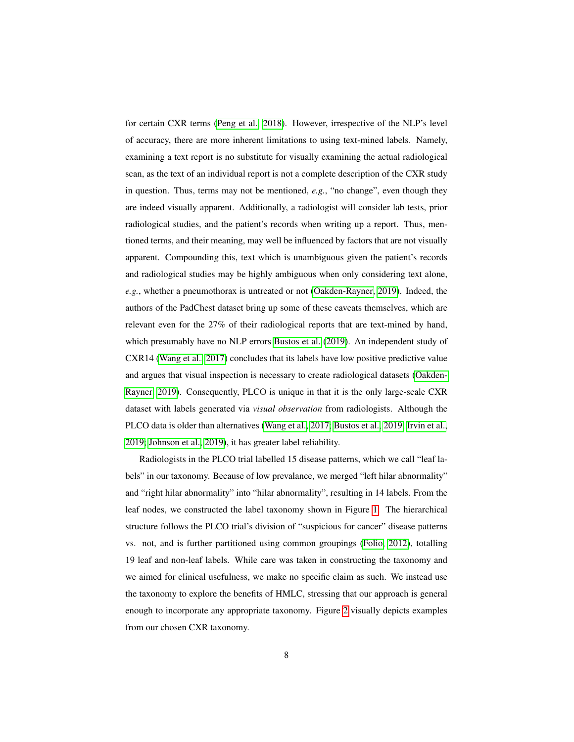for certain CXR terms [\(Peng et al., 2018\)](#page-30-6). However, irrespective of the NLP's level of accuracy, there are more inherent limitations to using text-mined labels. Namely, examining a text report is no substitute for visually examining the actual radiological scan, as the text of an individual report is not a complete description of the CXR study in question. Thus, terms may not be mentioned, *e.g.*, "no change", even though they are indeed visually apparent. Additionally, a radiologist will consider lab tests, prior radiological studies, and the patient's records when writing up a report. Thus, mentioned terms, and their meaning, may well be influenced by factors that are not visually apparent. Compounding this, text which is unambiguous given the patient's records and radiological studies may be highly ambiguous when only considering text alone, *e.g.*, whether a pneumothorax is untreated or not [\(Oakden-Rayner, 2019\)](#page-30-7). Indeed, the authors of the PadChest dataset bring up some of these caveats themselves, which are relevant even for the 27% of their radiological reports that are text-mined by hand, which presumably have no NLP errors [Bustos et al.](#page-25-0) [\(2019\)](#page-25-0). An independent study of CXR14 [\(Wang et al., 2017\)](#page-31-0) concludes that its labels have low positive predictive value and argues that visual inspection is necessary to create radiological datasets [\(Oakden-](#page-30-7)[Rayner, 2019\)](#page-30-7). Consequently, PLCO is unique in that it is the only large-scale CXR dataset with labels generated via *visual observation* from radiologists. Although the PLCO data is older than alternatives [\(Wang et al., 2017;](#page-31-0) [Bustos et al., 2019;](#page-25-0) [Irvin et al.,](#page-28-1) [2019;](#page-28-1) [Johnson et al., 2019\)](#page-28-4), it has greater label reliability.

Radiologists in the PLCO trial labelled 15 disease patterns, which we call "leaf labels" in our taxonomy. Because of low prevalance, we merged "left hilar abnormality" and "right hilar abnormality" into "hilar abnormality", resulting in 14 labels. From the leaf nodes, we constructed the label taxonomy shown in Figure [1.](#page-8-0) The hierarchical structure follows the PLCO trial's division of "suspicious for cancer" disease patterns vs. not, and is further partitioned using common groupings [\(Folio, 2012\)](#page-27-1), totalling 19 leaf and non-leaf labels. While care was taken in constructing the taxonomy and we aimed for clinical usefulness, we make no specific claim as such. We instead use the taxonomy to explore the benefits of HMLC, stressing that our approach is general enough to incorporate any appropriate taxonomy. Figure [2](#page-8-1) visually depicts examples from our chosen CXR taxonomy.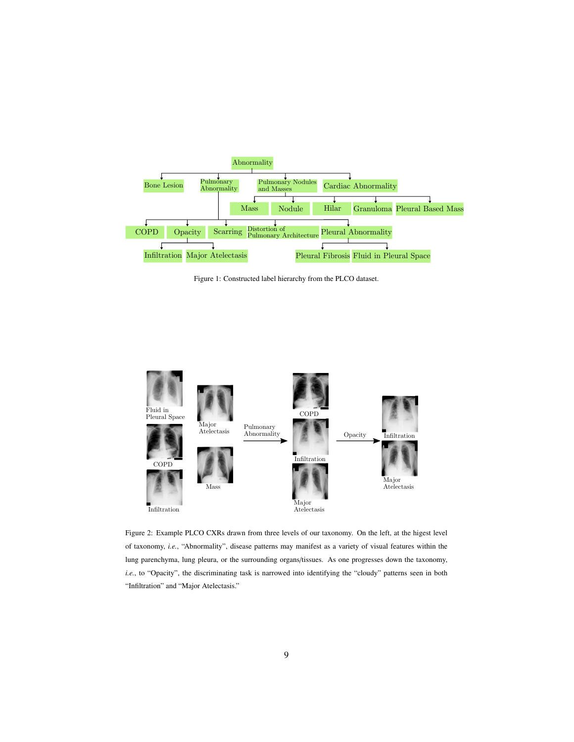<span id="page-8-0"></span>

Figure 1: Constructed label hierarchy from the PLCO dataset.

<span id="page-8-1"></span>

Figure 2: Example PLCO CXRs drawn from three levels of our taxonomy. On the left, at the higest level of taxonomy, *i.e.*, "Abnormality", disease patterns may manifest as a variety of visual features within the lung parenchyma, lung pleura, or the surrounding organs/tissues. As one progresses down the taxonomy, *i.e.*, to "Opacity", the discriminating task is narrowed into identifying the "cloudy" patterns seen in both "Infiltration" and "Major Atelectasis."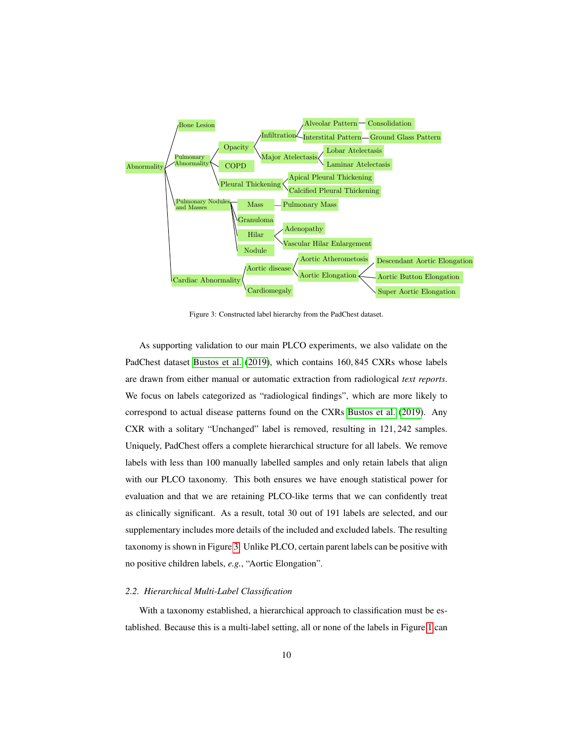<span id="page-9-1"></span>

Figure 3: Constructed label hierarchy from the PadChest dataset.

As supporting validation to our main PLCO experiments, we also validate on the PadChest dataset [Bustos et al.](#page-25-0) [\(2019\)](#page-25-0), which contains 160, 845 CXRs whose labels are drawn from either manual or automatic extraction from radiological *text reports*. We focus on labels categorized as "radiological findings", which are more likely to correspond to actual disease patterns found on the CXRs [Bustos et al.](#page-25-0) [\(2019\)](#page-25-0). Any CXR with a solitary "Unchanged" label is removed, resulting in 121, 242 samples. Uniquely, PadChest offers a complete hierarchical structure for all labels. We remove labels with less than 100 manually labelled samples and only retain labels that align with our PLCO taxonomy. This both ensures we have enough statistical power for evaluation and that we are retaining PLCO-like terms that we can confidently treat as clinically significant. As a result, total 30 out of 191 labels are selected, and our supplementary includes more details of the included and excluded labels. The resulting taxonomy is shown in Figure [3.](#page-9-1) Unlike PLCO, certain parent labels can be positive with no positive children labels, *e.g.*, "Aortic Elongation".

#### <span id="page-9-0"></span>*2.2. Hierarchical Multi-Label Classification*

With a taxonomy established, a hierarchical approach to classification must be established. Because this is a multi-label setting, all or none of the labels in Figure [1](#page-8-0) can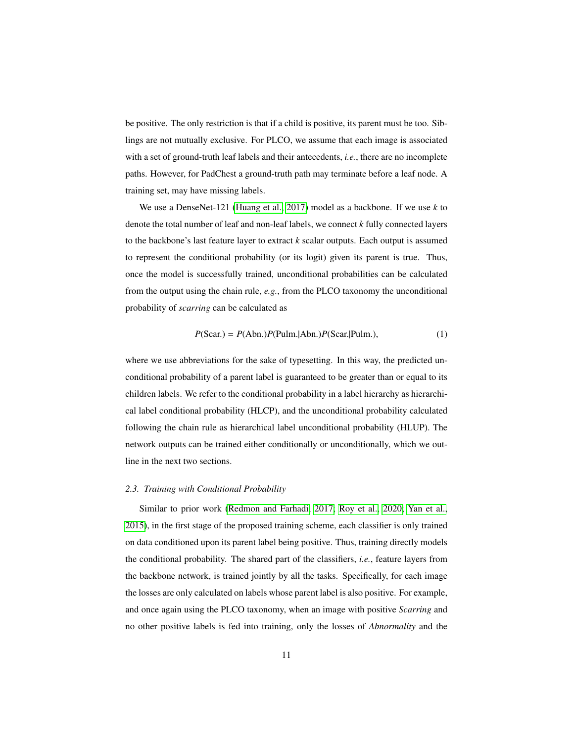be positive. The only restriction is that if a child is positive, its parent must be too. Siblings are not mutually exclusive. For PLCO, we assume that each image is associated with a set of ground-truth leaf labels and their antecedents, *i.e.*, there are no incomplete paths. However, for PadChest a ground-truth path may terminate before a leaf node. A training set, may have missing labels.

We use a DenseNet-121 [\(Huang et al., 2017\)](#page-28-7) model as a backbone. If we use *k* to denote the total number of leaf and non-leaf labels, we connect *k* fully connected layers to the backbone's last feature layer to extract *k* scalar outputs. Each output is assumed to represent the conditional probability (or its logit) given its parent is true. Thus, once the model is successfully trained, unconditional probabilities can be calculated from the output using the chain rule, *e.g.*, from the PLCO taxonomy the unconditional probability of *scarring* can be calculated as

$$
P(Scar.) = P(Abn.)P(Pulm.|Abn.)P(Scar.]Pulm.),
$$
\n(1)

where we use abbreviations for the sake of typesetting. In this way, the predicted unconditional probability of a parent label is guaranteed to be greater than or equal to its children labels. We refer to the conditional probability in a label hierarchy as hierarchical label conditional probability (HLCP), and the unconditional probability calculated following the chain rule as hierarchical label unconditional probability (HLUP). The network outputs can be trained either conditionally or unconditionally, which we outline in the next two sections.

#### <span id="page-10-0"></span>*2.3. Training with Conditional Probability*

Similar to prior work [\(Redmon and Farhadi, 2017;](#page-30-2) [Roy et al., 2020;](#page-30-3) [Yan et al.,](#page-31-5) [2015\)](#page-31-5), in the first stage of the proposed training scheme, each classifier is only trained on data conditioned upon its parent label being positive. Thus, training directly models the conditional probability. The shared part of the classifiers, *i.e.*, feature layers from the backbone network, is trained jointly by all the tasks. Specifically, for each image the losses are only calculated on labels whose parent label is also positive. For example, and once again using the PLCO taxonomy, when an image with positive *Scarring* and no other positive labels is fed into training, only the losses of *Abnormality* and the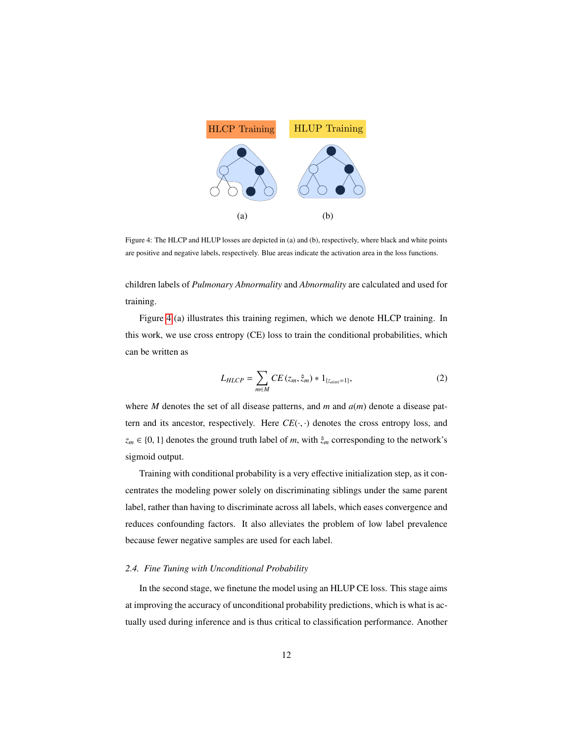<span id="page-11-1"></span>

Figure 4: The HLCP and HLUP losses are depicted in (a) and (b), respectively, where black and white points are positive and negative labels, respectively. Blue areas indicate the activation area in the loss functions.

children labels of *Pulmonary Abnormality* and *Abnormality* are calculated and used for training.

Figure [4](#page-11-1) (a) illustrates this training regimen, which we denote HLCP training. In this work, we use cross entropy (CE) loss to train the conditional probabilities, which can be written as

<span id="page-11-2"></span>
$$
L_{H L C P} = \sum_{m \in M} C E(z_m, \hat{z}_m) * 1_{\{z_{a(m)} = 1\}},
$$
\n(2)

where *M* denotes the set of all disease patterns, and *m* and *a*(*m*) denote a disease pattern and its ancestor, respectively. Here  $CE(\cdot, \cdot)$  denotes the cross entropy loss, and  $z_m \in \{0, 1\}$  denotes the ground truth label of *m*, with  $\hat{z}_m$  corresponding to the network's sigmoid output.

Training with conditional probability is a very effective initialization step, as it concentrates the modeling power solely on discriminating siblings under the same parent label, rather than having to discriminate across all labels, which eases convergence and reduces confounding factors. It also alleviates the problem of low label prevalence because fewer negative samples are used for each label.

## <span id="page-11-0"></span>*2.4. Fine Tuning with Unconditional Probability*

In the second stage, we finetune the model using an HLUP CE loss. This stage aims at improving the accuracy of unconditional probability predictions, which is what is actually used during inference and is thus critical to classification performance. Another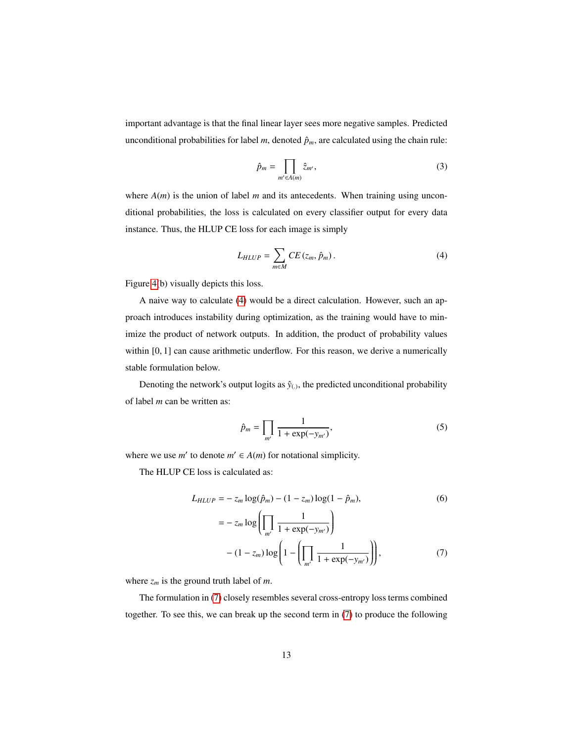important advantage is that the final linear layer sees more negative samples. Predicted unconditional probabilities for label  $m$ , denoted  $\hat{p}_m$ , are calculated using the chain rule:

<span id="page-12-2"></span><span id="page-12-0"></span>
$$
\hat{p}_m = \prod_{m' \in A(m)} \hat{z}_{m'},\tag{3}
$$

where  $A(m)$  is the union of label  $m$  and its antecedents. When training using unconditional probabilities, the loss is calculated on every classifier output for every data instance. Thus, the HLUP CE loss for each image is simply

$$
L_{HLUP} = \sum_{m \in M} CE(z_m, \hat{p}_m). \tag{4}
$$

Figure [4\(](#page-11-1)b) visually depicts this loss.

A naive way to calculate [\(4\)](#page-12-0) would be a direct calculation. However, such an approach introduces instability during optimization, as the training would have to minimize the product of network outputs. In addition, the product of probability values within [0, 1] can cause arithmetic underflow. For this reason, we derive a numerically stable formulation below.

Denoting the network's output logits as  $\hat{y}_{(.)}$ , the predicted unconditional probability of label *m* can be written as:

$$
\hat{p}_m = \prod_{m'} \frac{1}{1 + \exp(-y_{m'})},\tag{5}
$$

where we use  $m'$  to denote  $m' \in A(m)$  for notational simplicity.

The HLUP CE loss is calculated as:

$$
L_{HLUP} = -z_m \log(\hat{p}_m) - (1 - z_m) \log(1 - \hat{p}_m),
$$
\n
$$
= -z_m \log \left( \prod_{m'} \frac{1}{1 + \exp(-y_{m'})} \right)
$$
\n(6)

<span id="page-12-1"></span>
$$
-(1-z_m)\log\left(1-\left(\prod_{m'}\frac{1}{1+\exp(-y_{m'})}\right)\right),\tag{7}
$$

where  $z_m$  is the ground truth label of *m*.

The formulation in [\(7\)](#page-12-1) closely resembles several cross-entropy loss terms combined together. To see this, we can break up the second term in [\(7\)](#page-12-1) to produce the following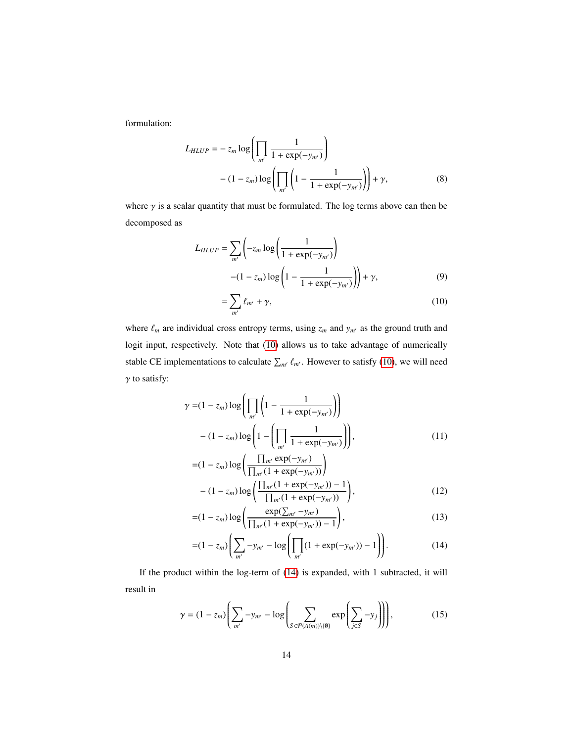formulation:

$$
L_{HLUP} = -z_m \log \left( \prod_{m'} \frac{1}{1 + \exp(-y_{m'})} \right)
$$
  
 
$$
- (1 - z_m) \log \left( \prod_{m'} \left( 1 - \frac{1}{1 + \exp(-y_{m'})} \right) \right) + \gamma,
$$
 (8)

where  $\gamma$  is a scalar quantity that must be formulated. The log terms above can then be decomposed as

$$
L_{HLUP} = \sum_{m'} \left( -z_m \log \left( \frac{1}{1 + \exp(-y_{m'})} \right) - (1 - z_m) \log \left( 1 - \frac{1}{1 + \exp(-y_{m'})} \right) \right) + \gamma,
$$
 (9)

<span id="page-13-3"></span><span id="page-13-0"></span>
$$
=\sum_{m'}\ell_{m'}+\gamma,\tag{10}
$$

where  $\ell_m$  are individual cross entropy terms, using  $z_m$  and  $y_{m'}$  as the ground truth and logit input, respectively. Note that [\(10\)](#page-13-0) allows us to take advantage of numerically stable CE implementations to calculate  $\sum_{m'} \ell_{m'}$ . However to satisfy [\(10\)](#page-13-0), we will need  $\gamma$  to satisfy:

$$
\gamma = (1 - z_m) \log \left( \prod_{m'} \left( 1 - \frac{1}{1 + \exp(-y_{m'})} \right) \right)
$$

$$
- (1 - z_m) \log \left( 1 - \left( \prod_{m'} \frac{1}{1 + \exp(-y_{m'})} \right) \right), \tag{11}
$$

$$
= (1 - z_m) \log \left( \frac{\prod_{m'} \exp(-y_{m'})}{\prod_{m'} (1 + \exp(-y_{m'}))} \right)
$$

$$
- (1 - z_m) \log \left( \frac{\prod_{m'} (1 + \exp(-y_{m'})) - 1}{\prod_{m'} (1 + \exp(-y_{m'}))} \right),
$$
(12)

$$
=(1-z_m)\log\left(\frac{\exp(\sum_{m'}-y_{m'})}{\prod_{m'}(1+\exp(-y_{m'}))-1}\right),\tag{13}
$$

<span id="page-13-2"></span><span id="page-13-1"></span>
$$
=(1-z_m)\left(\sum_{m'} -y_{m'} - \log\left(\prod_{m'}(1 + \exp(-y_{m'})) - 1\right)\right).
$$
 (14)

If the product within the log-term of [\(14\)](#page-13-1) is expanded, with 1 subtracted, it will result in

$$
\gamma = (1 - z_m) \left( \sum_{m'} -y_{m'} - \log \left( \sum_{S \in \mathcal{P}(A(m)) \setminus \{\emptyset\}} exp \left( \sum_{j \in S} -y_j \right) \right) \right),\tag{15}
$$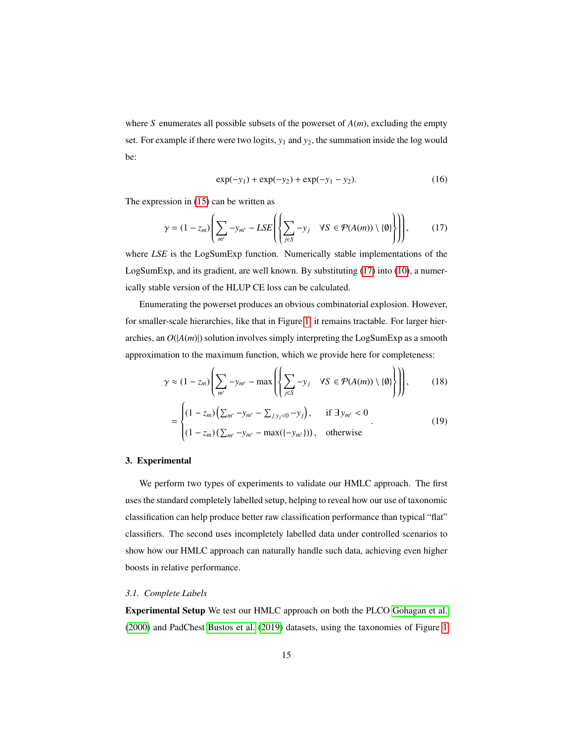where *S* enumerates all possible subsets of the powerset of *A*(*m*), excluding the empty set. For example if there were two logits,  $y_1$  and  $y_2$ , the summation inside the log would be:

<span id="page-14-0"></span>
$$
\exp(-y_1) + \exp(-y_2) + \exp(-y_1 - y_2). \tag{16}
$$

The expression in [\(15\)](#page-13-2) can be written as

$$
\gamma = (1 - z_m) \left( \sum_{m'} -y_{m'} - LSE \left( \left\{ \sum_{j \in S} -y_j \quad \forall S \in \mathcal{P}(A(m)) \setminus \{ \emptyset \} \right\} \right) \right),\tag{17}
$$

where *LSE* is the LogSumExp function. Numerically stable implementations of the LogSumExp, and its gradient, are well known. By substituting [\(17\)](#page-14-0) into [\(10\)](#page-13-0), a numerically stable version of the HLUP CE loss can be calculated.

Enumerating the powerset produces an obvious combinatorial explosion. However, for smaller-scale hierarchies, like that in Figure [1,](#page-8-0) it remains tractable. For larger hierarchies, an  $O(|A(m)|)$  solution involves simply interpreting the LogSumExp as a smooth approximation to the maximum function, which we provide here for completeness:

$$
\gamma \approx (1 - z_m) \left( \sum_{m'} -y_{m'} - \max \left( \left\{ \sum_{j \in S} -y_j \quad \forall S \in \mathcal{P}(A(m)) \setminus \{0\} \right\} \right) \right), \qquad (18)
$$

$$
= \begin{cases} (1 - z_m) \left( \sum_{m'} -y_{m'} - \sum_{j: y_j < 0} -y_j \right), & \text{if } \exists y_{m'} < 0 \\ (1 - z_m) \left( \sum_{m'} -y_{m'} - \max(\{-y_{m'}\}) \right), & \text{otherwise} \end{cases} \qquad (19)
$$

# 3. Experimental

We perform two types of experiments to validate our HMLC approach. The first uses the standard completely labelled setup, helping to reveal how our use of taxonomic classification can help produce better raw classification performance than typical "flat" classifiers. The second uses incompletely labelled data under controlled scenarios to show how our HMLC approach can naturally handle such data, achieving even higher boosts in relative performance.

## <span id="page-14-1"></span>*3.1. Complete Labels*

Experimental Setup We test our HMLC approach on both the PLCO [Gohagan et al.](#page-27-3) [\(2000\)](#page-27-3) and PadChest [Bustos et al.](#page-25-0) [\(2019\)](#page-25-0) datasets, using the taxonomies of Figure [1](#page-8-0)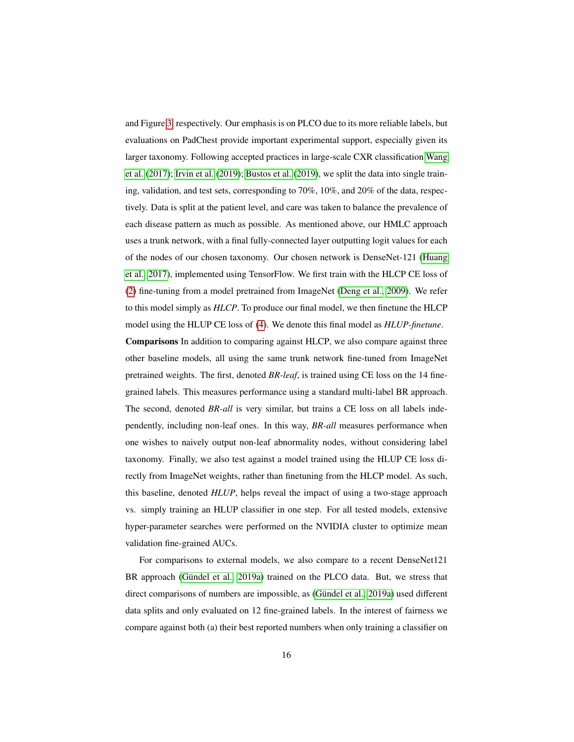and Figure [3,](#page-9-1) respectively. Our emphasis is on PLCO due to its more reliable labels, but evaluations on PadChest provide important experimental support, especially given its larger taxonomy. Following accepted practices in large-scale CXR classification [Wang](#page-31-0) [et al.](#page-31-0) [\(2017\)](#page-31-0); [Irvin et al.](#page-28-1) [\(2019\)](#page-28-1); [Bustos et al.](#page-25-0) [\(2019\)](#page-25-0), we split the data into single training, validation, and test sets, corresponding to 70%, 10%, and 20% of the data, respectively. Data is split at the patient level, and care was taken to balance the prevalence of each disease pattern as much as possible. As mentioned above, our HMLC approach uses a trunk network, with a final fully-connected layer outputting logit values for each of the nodes of our chosen taxonomy. Our chosen network is DenseNet-121 [\(Huang](#page-28-7) [et al., 2017\)](#page-28-7), implemented using TensorFlow. We first train with the HLCP CE loss of [\(2\)](#page-11-2) fine-tuning from a model pretrained from ImageNet [\(Deng et al., 2009\)](#page-26-6). We refer to this model simply as *HLCP*. To produce our final model, we then finetune the HLCP model using the HLUP CE loss of [\(4\)](#page-12-0). We denote this final model as *HLUP-finetune*. Comparisons In addition to comparing against HLCP, we also compare against three other baseline models, all using the same trunk network fine-tuned from ImageNet pretrained weights. The first, denoted *BR-leaf*, is trained using CE loss on the 14 finegrained labels. This measures performance using a standard multi-label BR approach. The second, denoted *BR-all* is very similar, but trains a CE loss on all labels independently, including non-leaf ones. In this way, *BR-all* measures performance when one wishes to naively output non-leaf abnormality nodes, without considering label taxonomy. Finally, we also test against a model trained using the HLUP CE loss directly from ImageNet weights, rather than finetuning from the HLCP model. As such, this baseline, denoted *HLUP*, helps reveal the impact of using a two-stage approach vs. simply training an HLUP classifier in one step. For all tested models, extensive hyper-parameter searches were performed on the NVIDIA cluster to optimize mean validation fine-grained AUCs.

For comparisons to external models, we also compare to a recent DenseNet121 BR approach (Gündel et al., 2019a) trained on the PLCO data. But, we stress that direct comparisons of numbers are impossible, as (Gündel et al., 2019a) used different data splits and only evaluated on 12 fine-grained labels. In the interest of fairness we compare against both (a) their best reported numbers when only training a classifier on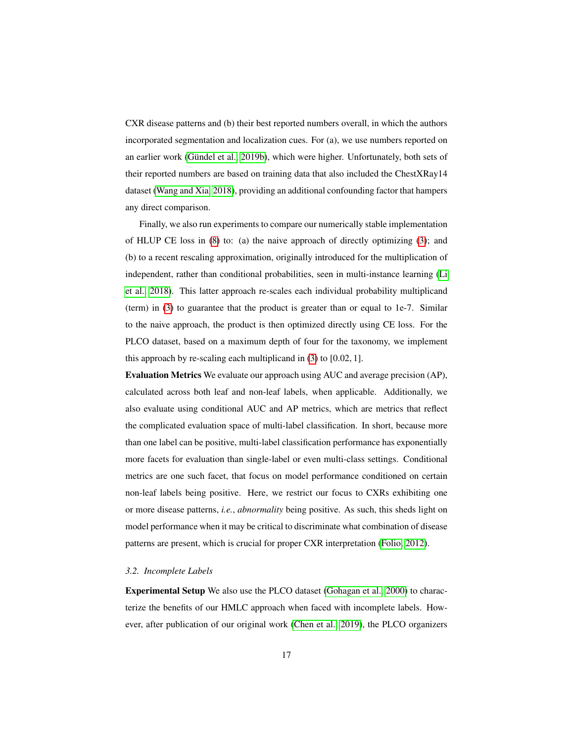CXR disease patterns and (b) their best reported numbers overall, in which the authors incorporated segmentation and localization cues. For (a), we use numbers reported on an earlier work (Gündel et al., 2019b), which were higher. Unfortunately, both sets of their reported numbers are based on training data that also included the ChestXRay14 dataset [\(Wang and Xia, 2018\)](#page-31-2), providing an additional confounding factor that hampers any direct comparison.

Finally, we also run experiments to compare our numerically stable implementation of HLUP CE loss in [\(8\)](#page-13-3) to: (a) the naive approach of directly optimizing [\(3\)](#page-12-2); and (b) to a recent rescaling approximation, originally introduced for the multiplication of independent, rather than conditional probabilities, seen in multi-instance learning [\(Li](#page-29-3) [et al., 2018\)](#page-29-3). This latter approach re-scales each individual probability multiplicand (term) in [\(3\)](#page-12-2) to guarantee that the product is greater than or equal to 1e-7. Similar to the naive approach, the product is then optimized directly using CE loss. For the PLCO dataset, based on a maximum depth of four for the taxonomy, we implement this approach by re-scaling each multiplicand in [\(3\)](#page-12-2) to [0.02, 1].

Evaluation Metrics We evaluate our approach using AUC and average precision (AP), calculated across both leaf and non-leaf labels, when applicable. Additionally, we also evaluate using conditional AUC and AP metrics, which are metrics that reflect the complicated evaluation space of multi-label classification. In short, because more than one label can be positive, multi-label classification performance has exponentially more facets for evaluation than single-label or even multi-class settings. Conditional metrics are one such facet, that focus on model performance conditioned on certain non-leaf labels being positive. Here, we restrict our focus to CXRs exhibiting one or more disease patterns, *i.e.*, *abnormality* being positive. As such, this sheds light on model performance when it may be critical to discriminate what combination of disease patterns are present, which is crucial for proper CXR interpretation [\(Folio, 2012\)](#page-27-1).

#### *3.2. Incomplete Labels*

Experimental Setup We also use the PLCO dataset [\(Gohagan et al., 2000\)](#page-27-3) to characterize the benefits of our HMLC approach when faced with incomplete labels. However, after publication of our original work [\(Chen et al., 2019\)](#page-26-5), the PLCO organizers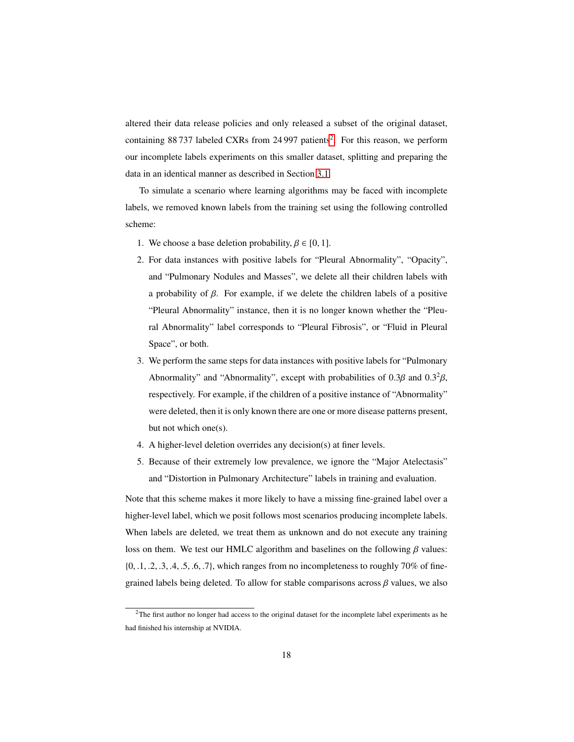altered their data release policies and only released a subset of the original dataset, containing 88 737 labeled CXRs from [2](#page-17-0)4 997 patients<sup>2</sup>. For this reason, we perform our incomplete labels experiments on this smaller dataset, splitting and preparing the data in an identical manner as described in Section [3.1.](#page-14-1)

To simulate a scenario where learning algorithms may be faced with incomplete labels, we removed known labels from the training set using the following controlled scheme:

- 1. We choose a base deletion probability,  $\beta \in [0, 1]$ .
- 2. For data instances with positive labels for "Pleural Abnormality", "Opacity", and "Pulmonary Nodules and Masses", we delete all their children labels with a probability of β. For example, if we delete the children labels of a positive "Pleural Abnormality" instance, then it is no longer known whether the "Pleural Abnormality" label corresponds to "Pleural Fibrosis", or "Fluid in Pleural Space", or both.
- 3. We perform the same steps for data instances with positive labels for "Pulmonary Abnormality" and "Abnormality", except with probabilities of  $0.3\beta$  and  $0.3^2\beta$ , respectively. For example, if the children of a positive instance of "Abnormality" were deleted, then it is only known there are one or more disease patterns present, but not which one(s).
- 4. A higher-level deletion overrides any decision(s) at finer levels.
- 5. Because of their extremely low prevalence, we ignore the "Major Atelectasis" and "Distortion in Pulmonary Architecture" labels in training and evaluation.

Note that this scheme makes it more likely to have a missing fine-grained label over a higher-level label, which we posit follows most scenarios producing incomplete labels. When labels are deleted, we treat them as unknown and do not execute any training loss on them. We test our HMLC algorithm and baselines on the following  $\beta$  values:  $\{0, 1, 2, 3, 4, 5, 6, 7\}$ , which ranges from no incompleteness to roughly 70% of finegrained labels being deleted. To allow for stable comparisons across  $\beta$  values, we also

<span id="page-17-0"></span><sup>&</sup>lt;sup>2</sup>The first author no longer had access to the original dataset for the incomplete label experiments as he had finished his internship at NVIDIA.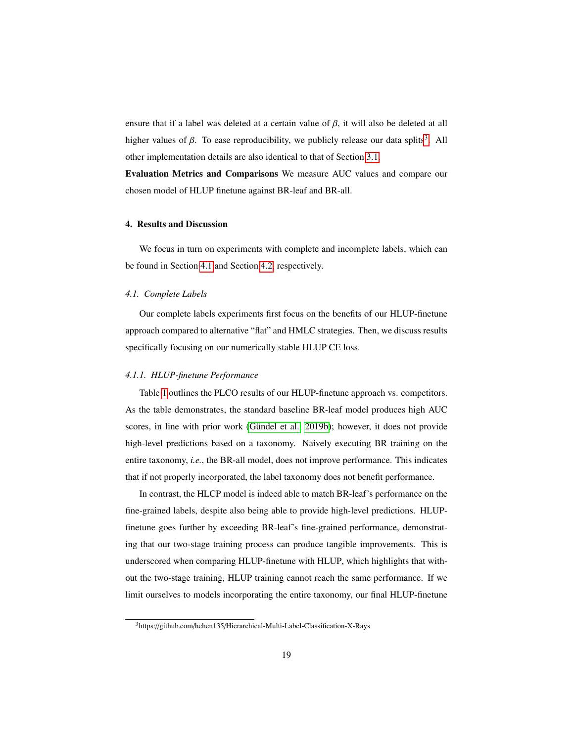ensure that if a label was deleted at a certain value of  $\beta$ , it will also be deleted at all higher values of  $\beta$ . To ease reproducibility, we publicly release our data splits<sup>[3](#page-18-0)</sup>. All other implementation details are also identical to that of Section [3.1.](#page-14-1)

Evaluation Metrics and Comparisons We measure AUC values and compare our chosen model of HLUP finetune against BR-leaf and BR-all.

## 4. Results and Discussion

We focus in turn on experiments with complete and incomplete labels, which can be found in Section [4.1](#page-18-1) and Section [4.2,](#page-22-0) respectively.

## <span id="page-18-1"></span>*4.1. Complete Labels*

Our complete labels experiments first focus on the benefits of our HLUP-finetune approach compared to alternative "flat" and HMLC strategies. Then, we discuss results specifically focusing on our numerically stable HLUP CE loss.

#### *4.1.1. HLUP-finetune Performance*

Table [1](#page-19-0) outlines the PLCO results of our HLUP-finetune approach vs. competitors. As the table demonstrates, the standard baseline BR-leaf model produces high AUC scores, in line with prior work (Gündel et al., 2019b); however, it does not provide high-level predictions based on a taxonomy. Naively executing BR training on the entire taxonomy, *i.e.*, the BR-all model, does not improve performance. This indicates that if not properly incorporated, the label taxonomy does not benefit performance.

In contrast, the HLCP model is indeed able to match BR-leaf's performance on the fine-grained labels, despite also being able to provide high-level predictions. HLUPfinetune goes further by exceeding BR-leaf's fine-grained performance, demonstrating that our two-stage training process can produce tangible improvements. This is underscored when comparing HLUP-finetune with HLUP, which highlights that without the two-stage training, HLUP training cannot reach the same performance. If we limit ourselves to models incorporating the entire taxonomy, our final HLUP-finetune

<span id="page-18-0"></span><sup>3</sup>https://github.com/hchen135/Hierarchical-Multi-Label-Classification-X-Rays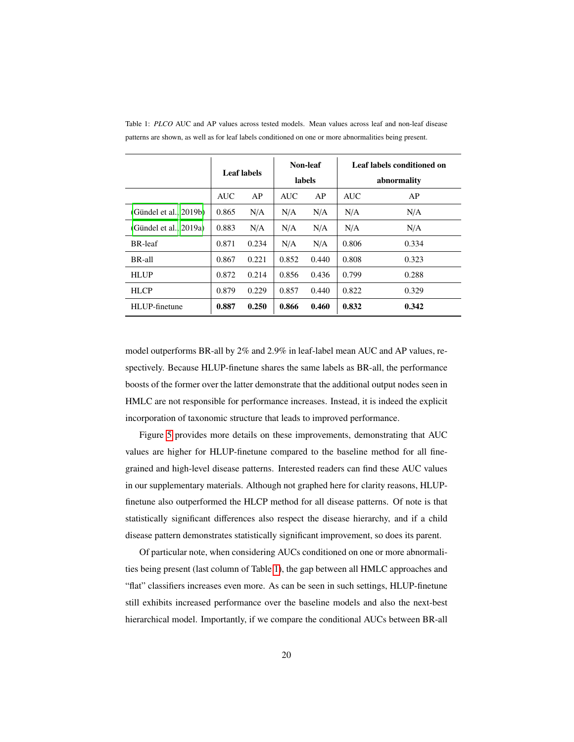|                        | <b>Leaf labels</b> |       | Non-leaf<br>labels |       | Leaf labels conditioned on<br>abnormality |       |
|------------------------|--------------------|-------|--------------------|-------|-------------------------------------------|-------|
|                        | <b>AUC</b>         | AP    | <b>AUC</b>         | AP    | <b>AUC</b>                                | AP    |
| (Gündel et al., 2019b) | 0.865              | N/A   | N/A                | N/A   | N/A                                       | N/A   |
| (Gündel et al., 2019a) | 0.883              | N/A   | N/A                | N/A   | N/A                                       | N/A   |
| <b>BR-leaf</b>         | 0.871              | 0.234 | N/A                | N/A   | 0.806                                     | 0.334 |
| BR-all                 | 0.867              | 0.221 | 0.852              | 0.440 | 0.808                                     | 0.323 |
| <b>HLUP</b>            | 0.872              | 0.214 | 0.856              | 0.436 | 0.799                                     | 0.288 |
| <b>HLCP</b>            | 0.879              | 0.229 | 0.857              | 0.440 | 0.822                                     | 0.329 |
| HLUP-finetune          | 0.887              | 0.250 | 0.866              | 0.460 | 0.832                                     | 0.342 |

<span id="page-19-0"></span>Table 1: *PLCO* AUC and AP values across tested models. Mean values across leaf and non-leaf disease patterns are shown, as well as for leaf labels conditioned on one or more abnormalities being present.

model outperforms BR-all by 2% and 2.9% in leaf-label mean AUC and AP values, respectively. Because HLUP-finetune shares the same labels as BR-all, the performance boosts of the former over the latter demonstrate that the additional output nodes seen in HMLC are not responsible for performance increases. Instead, it is indeed the explicit incorporation of taxonomic structure that leads to improved performance.

Figure [5](#page-20-0) provides more details on these improvements, demonstrating that AUC values are higher for HLUP-finetune compared to the baseline method for all finegrained and high-level disease patterns. Interested readers can find these AUC values in our supplementary materials. Although not graphed here for clarity reasons, HLUPfinetune also outperformed the HLCP method for all disease patterns. Of note is that statistically significant differences also respect the disease hierarchy, and if a child disease pattern demonstrates statistically significant improvement, so does its parent.

Of particular note, when considering AUCs conditioned on one or more abnormalities being present (last column of Table [1\)](#page-19-0), the gap between all HMLC approaches and "flat" classifiers increases even more. As can be seen in such settings, HLUP-finetune still exhibits increased performance over the baseline models and also the next-best hierarchical model. Importantly, if we compare the conditional AUCs between BR-all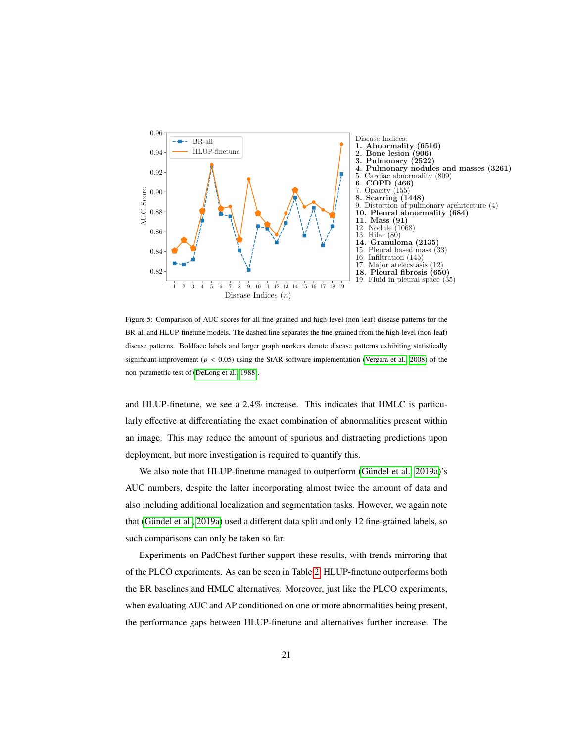<span id="page-20-0"></span>

Figure 5: Comparison of AUC scores for all fine-grained and high-level (non-leaf) disease patterns for the BR-all and HLUP-finetune models. The dashed line separates the fine-grained from the high-level (non-leaf) disease patterns. Boldface labels and larger graph markers denote disease patterns exhibiting statistically significant improvement ( $p < 0.05$ ) using the StAR software implementation [\(Vergara et al., 2008\)](#page-31-7) of the non-parametric test of [\(DeLong et al., 1988\)](#page-26-7).

and HLUP-finetune, we see a 2.4% increase. This indicates that HMLC is particularly effective at differentiating the exact combination of abnormalities present within an image. This may reduce the amount of spurious and distracting predictions upon deployment, but more investigation is required to quantify this.

We also note that HLUP-finetune managed to outperform (Gündel et al., 2019a)'s AUC numbers, despite the latter incorporating almost twice the amount of data and also including additional localization and segmentation tasks. However, we again note that (Gündel et al., 2019a) used a different data split and only 12 fine-grained labels, so such comparisons can only be taken so far.

Experiments on PadChest further support these results, with trends mirroring that of the PLCO experiments. As can be seen in Table [2,](#page-21-0) HLUP-finetune outperforms both the BR baselines and HMLC alternatives. Moreover, just like the PLCO experiments, when evaluating AUC and AP conditioned on one or more abnormalities being present, the performance gaps between HLUP-finetune and alternatives further increase. The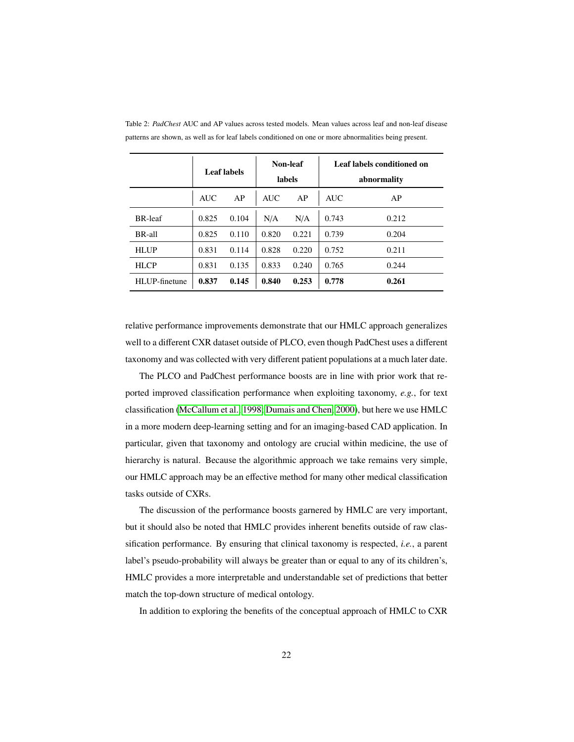|                | <b>Leaf labels</b> |       | Non-leaf<br>labels |       | Leaf labels conditioned on<br>abnormality |       |
|----------------|--------------------|-------|--------------------|-------|-------------------------------------------|-------|
|                | <b>AUC</b>         | AP    | <b>AUC</b>         | AP    | <b>AUC</b>                                | AP    |
| <b>BR-leaf</b> | 0.825              | 0.104 | N/A                | N/A   | 0.743                                     | 0.212 |
| BR-all         | 0.825              | 0.110 | 0.820              | 0.221 | 0.739                                     | 0.204 |
| <b>HLUP</b>    | 0.831              | 0.114 | 0.828              | 0.220 | 0.752                                     | 0.211 |
| <b>HLCP</b>    | 0.831              | 0.135 | 0.833              | 0.240 | 0.765                                     | 0.244 |
| HLUP-finetune  | 0.837              | 0.145 | 0.840              | 0.253 | 0.778                                     | 0.261 |

<span id="page-21-0"></span>Table 2: *PadChest* AUC and AP values across tested models. Mean values across leaf and non-leaf disease patterns are shown, as well as for leaf labels conditioned on one or more abnormalities being present.

relative performance improvements demonstrate that our HMLC approach generalizes well to a different CXR dataset outside of PLCO, even though PadChest uses a different taxonomy and was collected with very different patient populations at a much later date.

The PLCO and PadChest performance boosts are in line with prior work that reported improved classification performance when exploiting taxonomy, *e.g.*, for text classification [\(McCallum et al., 1998;](#page-29-4) [Dumais and Chen, 2000\)](#page-27-7), but here we use HMLC in a more modern deep-learning setting and for an imaging-based CAD application. In particular, given that taxonomy and ontology are crucial within medicine, the use of hierarchy is natural. Because the algorithmic approach we take remains very simple, our HMLC approach may be an effective method for many other medical classification tasks outside of CXRs.

The discussion of the performance boosts garnered by HMLC are very important, but it should also be noted that HMLC provides inherent benefits outside of raw classification performance. By ensuring that clinical taxonomy is respected, *i.e.*, a parent label's pseudo-probability will always be greater than or equal to any of its children's, HMLC provides a more interpretable and understandable set of predictions that better match the top-down structure of medical ontology.

In addition to exploring the benefits of the conceptual approach of HMLC to CXR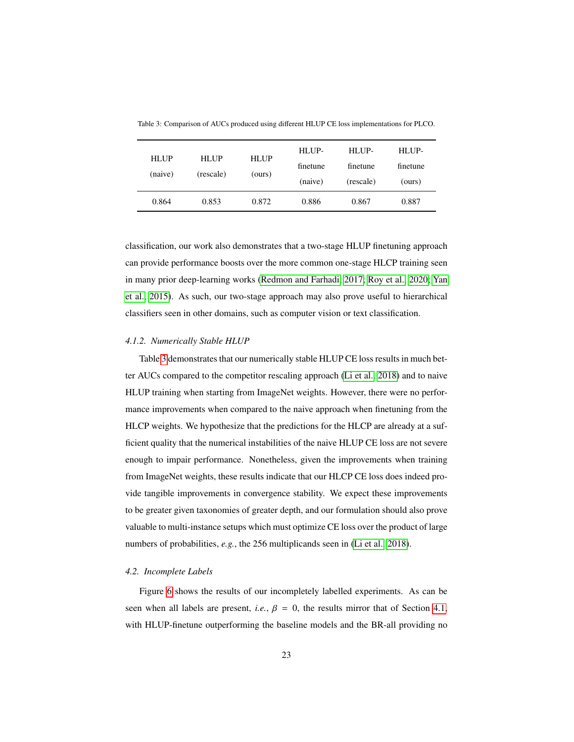| <b>HLUP</b><br>(naive) | <b>HLUP</b><br>(rescale) | <b>HLUP</b><br>(ours) | HLUP-<br>finetune<br>(naive) | HI UP-<br>finetune<br>(rescale) | HLUP-<br>finetune<br>(ours) |
|------------------------|--------------------------|-----------------------|------------------------------|---------------------------------|-----------------------------|
| 0.864                  | 0.853                    | 0.872                 | 0.886                        | 0.867                           | 0.887                       |

<span id="page-22-1"></span>Table 3: Comparison of AUCs produced using different HLUP CE loss implementations for PLCO.

classification, our work also demonstrates that a two-stage HLUP finetuning approach can provide performance boosts over the more common one-stage HLCP training seen in many prior deep-learning works [\(Redmon and Farhadi, 2017;](#page-30-2) [Roy et al., 2020;](#page-30-3) [Yan](#page-31-5) [et al., 2015\)](#page-31-5). As such, our two-stage approach may also prove useful to hierarchical classifiers seen in other domains, such as computer vision or text classification.

### *4.1.2. Numerically Stable HLUP*

Table [3](#page-22-1) demonstrates that our numerically stable HLUP CE loss results in much better AUCs compared to the competitor rescaling approach [\(Li et al., 2018\)](#page-29-3) and to naive HLUP training when starting from ImageNet weights. However, there were no performance improvements when compared to the naive approach when finetuning from the HLCP weights. We hypothesize that the predictions for the HLCP are already at a sufficient quality that the numerical instabilities of the naive HLUP CE loss are not severe enough to impair performance. Nonetheless, given the improvements when training from ImageNet weights, these results indicate that our HLCP CE loss does indeed provide tangible improvements in convergence stability. We expect these improvements to be greater given taxonomies of greater depth, and our formulation should also prove valuable to multi-instance setups which must optimize CE loss over the product of large numbers of probabilities, *e.g.*, the 256 multiplicands seen in [\(Li et al., 2018\)](#page-29-3).

#### <span id="page-22-0"></span>*4.2. Incomplete Labels*

Figure [6](#page-23-0) shows the results of our incompletely labelled experiments. As can be seen when all labels are present, *i.e.*,  $\beta = 0$ , the results mirror that of Section [4.1,](#page-18-1) with HLUP-finetune outperforming the baseline models and the BR-all providing no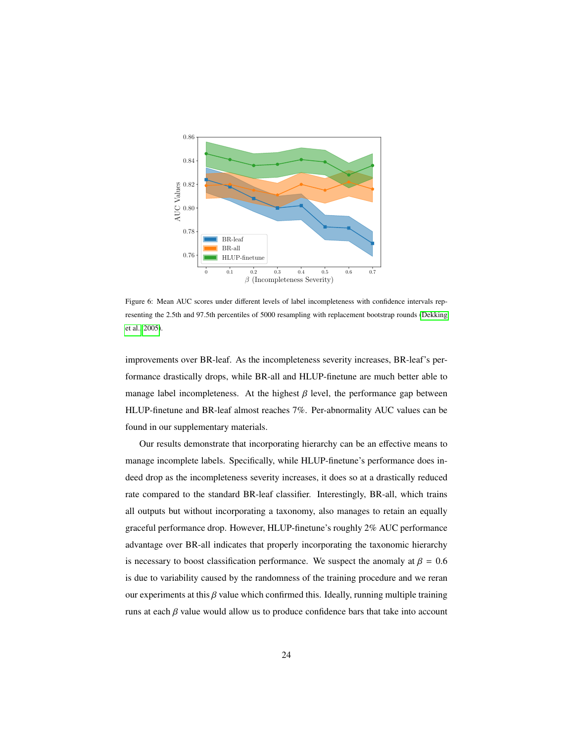<span id="page-23-0"></span>

Figure 6: Mean AUC scores under different levels of label incompleteness with confidence intervals representing the 2.5th and 97.5th percentiles of 5000 resampling with replacement bootstrap rounds [\(Dekking](#page-26-8) [et al., 2005\)](#page-26-8).

improvements over BR-leaf. As the incompleteness severity increases, BR-leaf's performance drastically drops, while BR-all and HLUP-finetune are much better able to manage label incompleteness. At the highest  $\beta$  level, the performance gap between HLUP-finetune and BR-leaf almost reaches 7%. Per-abnormality AUC values can be found in our supplementary materials.

Our results demonstrate that incorporating hierarchy can be an effective means to manage incomplete labels. Specifically, while HLUP-finetune's performance does indeed drop as the incompleteness severity increases, it does so at a drastically reduced rate compared to the standard BR-leaf classifier. Interestingly, BR-all, which trains all outputs but without incorporating a taxonomy, also manages to retain an equally graceful performance drop. However, HLUP-finetune's roughly 2% AUC performance advantage over BR-all indicates that properly incorporating the taxonomic hierarchy is necessary to boost classification performance. We suspect the anomaly at  $\beta = 0.6$ is due to variability caused by the randomness of the training procedure and we reran our experiments at this  $\beta$  value which confirmed this. Ideally, running multiple training runs at each  $\beta$  value would allow us to produce confidence bars that take into account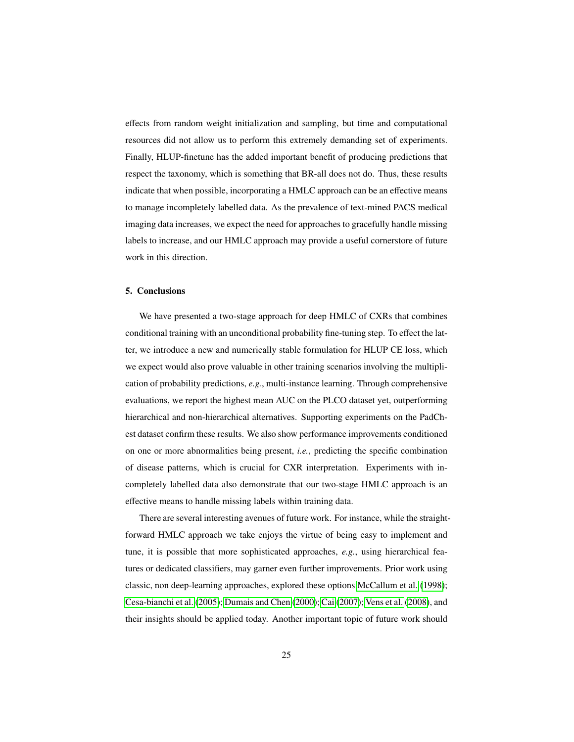effects from random weight initialization and sampling, but time and computational resources did not allow us to perform this extremely demanding set of experiments. Finally, HLUP-finetune has the added important benefit of producing predictions that respect the taxonomy, which is something that BR-all does not do. Thus, these results indicate that when possible, incorporating a HMLC approach can be an effective means to manage incompletely labelled data. As the prevalence of text-mined PACS medical imaging data increases, we expect the need for approaches to gracefully handle missing labels to increase, and our HMLC approach may provide a useful cornerstore of future work in this direction.

## 5. Conclusions

We have presented a two-stage approach for deep HMLC of CXRs that combines conditional training with an unconditional probability fine-tuning step. To effect the latter, we introduce a new and numerically stable formulation for HLUP CE loss, which we expect would also prove valuable in other training scenarios involving the multiplication of probability predictions, *e.g.*, multi-instance learning. Through comprehensive evaluations, we report the highest mean AUC on the PLCO dataset yet, outperforming hierarchical and non-hierarchical alternatives. Supporting experiments on the PadChest dataset confirm these results. We also show performance improvements conditioned on one or more abnormalities being present, *i.e.*, predicting the specific combination of disease patterns, which is crucial for CXR interpretation. Experiments with incompletely labelled data also demonstrate that our two-stage HMLC approach is an effective means to handle missing labels within training data.

There are several interesting avenues of future work. For instance, while the straightforward HMLC approach we take enjoys the virtue of being easy to implement and tune, it is possible that more sophisticated approaches, *e.g.*, using hierarchical features or dedicated classifiers, may garner even further improvements. Prior work using classic, non deep-learning approaches, explored these options [McCallum et al.](#page-29-4) [\(1998\)](#page-29-4); [Cesa-bianchi et al.](#page-26-3) [\(2005\)](#page-26-3); [Dumais and Chen](#page-27-7) [\(2000\)](#page-27-7); [Cai](#page-26-4) [\(2007\)](#page-26-4); [Vens et al.](#page-31-4) [\(2008\)](#page-31-4), and their insights should be applied today. Another important topic of future work should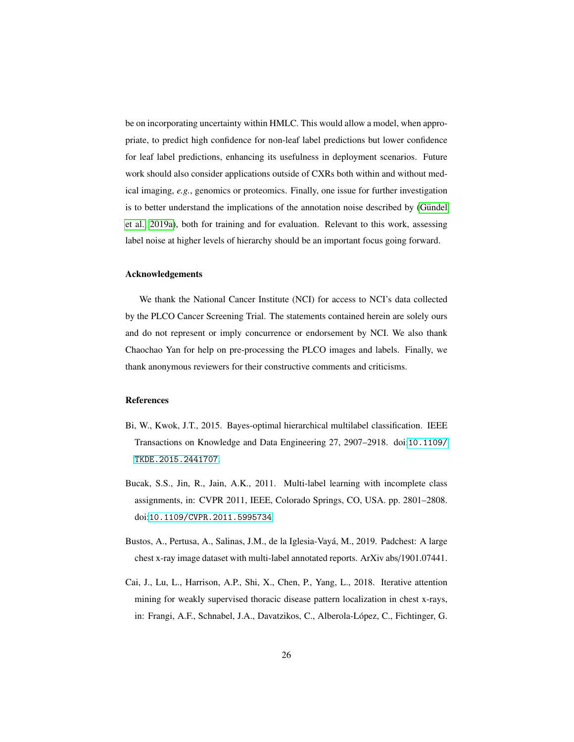be on incorporating uncertainty within HMLC. This would allow a model, when appropriate, to predict high confidence for non-leaf label predictions but lower confidence for leaf label predictions, enhancing its usefulness in deployment scenarios. Future work should also consider applications outside of CXRs both within and without medical imaging, *e.g.*, genomics or proteomics. Finally, one issue for further investigation is to better understand the implications of the annotation noise described by (Gündel [et al., 2019a\)](#page-27-0), both for training and for evaluation. Relevant to this work, assessing label noise at higher levels of hierarchy should be an important focus going forward.

## Acknowledgements

We thank the National Cancer Institute (NCI) for access to NCI's data collected by the PLCO Cancer Screening Trial. The statements contained herein are solely ours and do not represent or imply concurrence or endorsement by NCI. We also thank Chaochao Yan for help on pre-processing the PLCO images and labels. Finally, we thank anonymous reviewers for their constructive comments and criticisms.

## References

- <span id="page-25-1"></span>Bi, W., Kwok, J.T., 2015. Bayes-optimal hierarchical multilabel classification. IEEE Transactions on Knowledge and Data Engineering 27, 2907–2918. doi:[10.1109/](http://dx.doi.org/10.1109/TKDE.2015.2441707) [TKDE.2015.2441707](http://dx.doi.org/10.1109/TKDE.2015.2441707).
- <span id="page-25-3"></span>Bucak, S.S., Jin, R., Jain, A.K., 2011. Multi-label learning with incomplete class assignments, in: CVPR 2011, IEEE, Colorado Springs, CO, USA. pp. 2801–2808. doi:[10.1109/CVPR.2011.5995734](http://dx.doi.org/10.1109/CVPR.2011.5995734).
- <span id="page-25-0"></span>Bustos, A., Pertusa, A., Salinas, J.M., de la Iglesia-Vayá, M., 2019. Padchest: A large chest x-ray image dataset with multi-label annotated reports. ArXiv abs/1901.07441.
- <span id="page-25-2"></span>Cai, J., Lu, L., Harrison, A.P., Shi, X., Chen, P., Yang, L., 2018. Iterative attention mining for weakly supervised thoracic disease pattern localization in chest x-rays, in: Frangi, A.F., Schnabel, J.A., Davatzikos, C., Alberola-López, C., Fichtinger, G.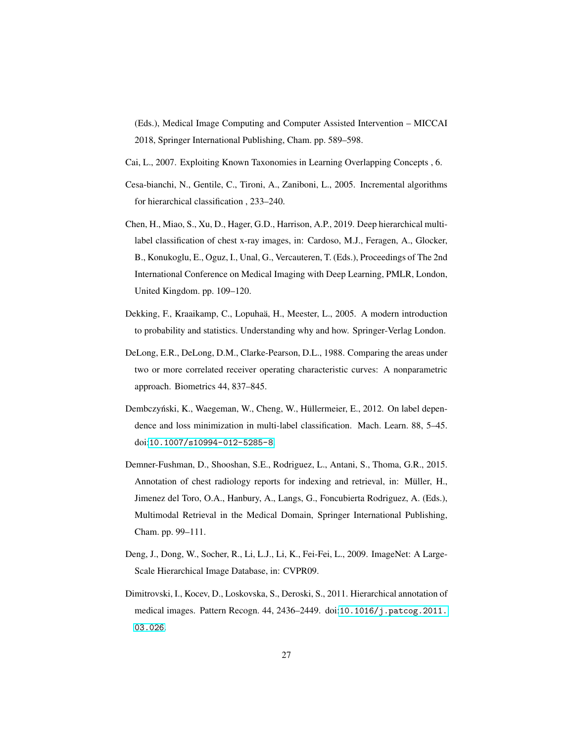(Eds.), Medical Image Computing and Computer Assisted Intervention – MICCAI 2018, Springer International Publishing, Cham. pp. 589–598.

<span id="page-26-4"></span>Cai, L., 2007. Exploiting Known Taxonomies in Learning Overlapping Concepts , 6.

- <span id="page-26-3"></span>Cesa-bianchi, N., Gentile, C., Tironi, A., Zaniboni, L., 2005. Incremental algorithms for hierarchical classification , 233–240.
- <span id="page-26-5"></span>Chen, H., Miao, S., Xu, D., Hager, G.D., Harrison, A.P., 2019. Deep hierarchical multilabel classification of chest x-ray images, in: Cardoso, M.J., Feragen, A., Glocker, B., Konukoglu, E., Oguz, I., Unal, G., Vercauteren, T. (Eds.), Proceedings of The 2nd International Conference on Medical Imaging with Deep Learning, PMLR, London, United Kingdom. pp. 109–120.
- <span id="page-26-8"></span>Dekking, F., Kraaikamp, C., Lopuhaä, H., Meester, L., 2005. A modern introduction to probability and statistics. Understanding why and how. Springer-Verlag London.
- <span id="page-26-7"></span>DeLong, E.R., DeLong, D.M., Clarke-Pearson, D.L., 1988. Comparing the areas under two or more correlated receiver operating characteristic curves: A nonparametric approach. Biometrics 44, 837–845.
- <span id="page-26-2"></span>Dembczyński, K., Waegeman, W., Cheng, W., Hüllermeier, E., 2012. On label dependence and loss minimization in multi-label classification. Mach. Learn. 88, 5–45. doi:[10.1007/s10994-012-5285-8](http://dx.doi.org/10.1007/s10994-012-5285-8).
- <span id="page-26-0"></span>Demner-Fushman, D., Shooshan, S.E., Rodriguez, L., Antani, S., Thoma, G.R., 2015. Annotation of chest radiology reports for indexing and retrieval, in: Müller, H., Jimenez del Toro, O.A., Hanbury, A., Langs, G., Foncubierta Rodriguez, A. (Eds.), Multimodal Retrieval in the Medical Domain, Springer International Publishing, Cham. pp. 99–111.
- <span id="page-26-6"></span>Deng, J., Dong, W., Socher, R., Li, L.J., Li, K., Fei-Fei, L., 2009. ImageNet: A Large-Scale Hierarchical Image Database, in: CVPR09.
- <span id="page-26-1"></span>Dimitrovski, I., Kocev, D., Loskovska, S., Deroski, S., 2011. Hierarchical annotation of medical images. Pattern Recogn. 44, 2436–2449. doi:[10.1016/j.patcog.2011.](http://dx.doi.org/10.1016/j.patcog.2011.03.026) [03.026](http://dx.doi.org/10.1016/j.patcog.2011.03.026).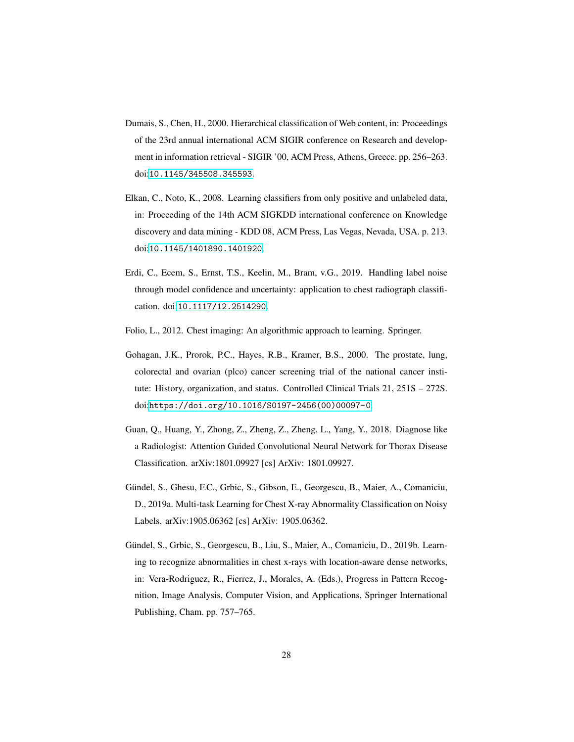- <span id="page-27-7"></span>Dumais, S., Chen, H., 2000. Hierarchical classification of Web content, in: Proceedings of the 23rd annual international ACM SIGIR conference on Research and development in information retrieval - SIGIR '00, ACM Press, Athens, Greece. pp. 256–263. doi:[10.1145/345508.345593](http://dx.doi.org/10.1145/345508.345593).
- <span id="page-27-5"></span>Elkan, C., Noto, K., 2008. Learning classifiers from only positive and unlabeled data, in: Proceeding of the 14th ACM SIGKDD international conference on Knowledge discovery and data mining - KDD 08, ACM Press, Las Vegas, Nevada, USA. p. 213. doi:[10.1145/1401890.1401920](http://dx.doi.org/10.1145/1401890.1401920).
- <span id="page-27-2"></span>Erdi, C., Ecem, S., Ernst, T.S., Keelin, M., Bram, v.G., 2019. Handling label noise through model confidence and uncertainty: application to chest radiograph classification. doi:[10.1117/12.2514290](http://dx.doi.org/10.1117/12.2514290).
- <span id="page-27-1"></span>Folio, L., 2012. Chest imaging: An algorithmic approach to learning. Springer.
- <span id="page-27-3"></span>Gohagan, J.K., Prorok, P.C., Hayes, R.B., Kramer, B.S., 2000. The prostate, lung, colorectal and ovarian (plco) cancer screening trial of the national cancer institute: History, organization, and status. Controlled Clinical Trials 21, 251S – 272S. doi:[https://doi.org/10.1016/S0197-2456\(00\)00097-0](http://dx.doi.org/https://doi.org/10.1016/S0197-2456(00)00097-0).
- <span id="page-27-4"></span>Guan, Q., Huang, Y., Zhong, Z., Zheng, Z., Zheng, L., Yang, Y., 2018. Diagnose like a Radiologist: Attention Guided Convolutional Neural Network for Thorax Disease Classification. arXiv:1801.09927 [cs] ArXiv: 1801.09927.
- <span id="page-27-0"></span>Gündel, S., Ghesu, F.C., Grbic, S., Gibson, E., Georgescu, B., Maier, A., Comaniciu, D., 2019a. Multi-task Learning for Chest X-ray Abnormality Classification on Noisy Labels. arXiv:1905.06362 [cs] ArXiv: 1905.06362.
- <span id="page-27-6"></span>Gündel, S., Grbic, S., Georgescu, B., Liu, S., Maier, A., Comaniciu, D., 2019b. Learning to recognize abnormalities in chest x-rays with location-aware dense networks, in: Vera-Rodriguez, R., Fierrez, J., Morales, A. (Eds.), Progress in Pattern Recognition, Image Analysis, Computer Vision, and Applications, Springer International Publishing, Cham. pp. 757–765.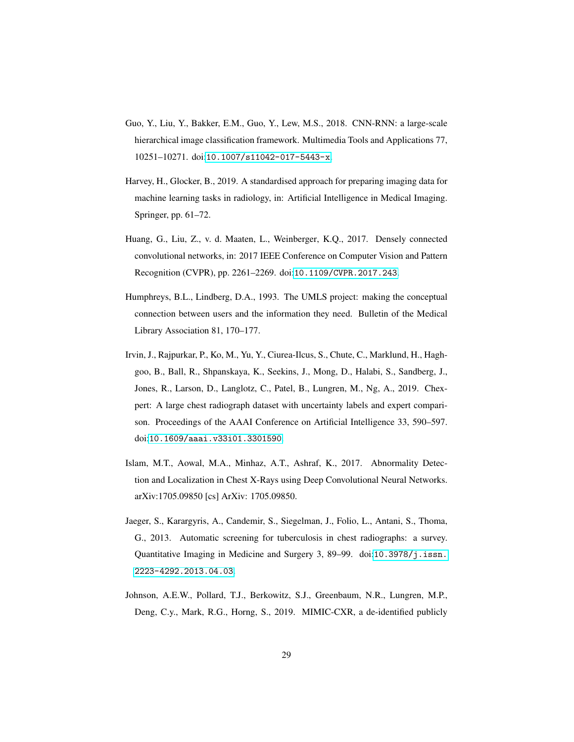- <span id="page-28-6"></span>Guo, Y., Liu, Y., Bakker, E.M., Guo, Y., Lew, M.S., 2018. CNN-RNN: a large-scale hierarchical image classification framework. Multimedia Tools and Applications 77, 10251–10271. doi:[10.1007/s11042-017-5443-x](http://dx.doi.org/10.1007/s11042-017-5443-x).
- <span id="page-28-3"></span>Harvey, H., Glocker, B., 2019. A standardised approach for preparing imaging data for machine learning tasks in radiology, in: Artificial Intelligence in Medical Imaging. Springer, pp. 61–72.
- <span id="page-28-7"></span>Huang, G., Liu, Z., v. d. Maaten, L., Weinberger, K.Q., 2017. Densely connected convolutional networks, in: 2017 IEEE Conference on Computer Vision and Pattern Recognition (CVPR), pp. 2261–2269. doi:[10.1109/CVPR.2017.243](http://dx.doi.org/10.1109/CVPR.2017.243).
- <span id="page-28-2"></span>Humphreys, B.L., Lindberg, D.A., 1993. The UMLS project: making the conceptual connection between users and the information they need. Bulletin of the Medical Library Association 81, 170–177.
- <span id="page-28-1"></span>Irvin, J., Rajpurkar, P., Ko, M., Yu, Y., Ciurea-Ilcus, S., Chute, C., Marklund, H., Haghgoo, B., Ball, R., Shpanskaya, K., Seekins, J., Mong, D., Halabi, S., Sandberg, J., Jones, R., Larson, D., Langlotz, C., Patel, B., Lungren, M., Ng, A., 2019. Chexpert: A large chest radiograph dataset with uncertainty labels and expert comparison. Proceedings of the AAAI Conference on Artificial Intelligence 33, 590–597. doi:[10.1609/aaai.v33i01.3301590](http://dx.doi.org/10.1609/aaai.v33i01.3301590).
- <span id="page-28-5"></span>Islam, M.T., Aowal, M.A., Minhaz, A.T., Ashraf, K., 2017. Abnormality Detection and Localization in Chest X-Rays using Deep Convolutional Neural Networks. arXiv:1705.09850 [cs] ArXiv: 1705.09850.
- <span id="page-28-0"></span>Jaeger, S., Karargyris, A., Candemir, S., Siegelman, J., Folio, L., Antani, S., Thoma, G., 2013. Automatic screening for tuberculosis in chest radiographs: a survey. Quantitative Imaging in Medicine and Surgery 3, 89–99. doi:[10.3978/j.issn.](http://dx.doi.org/10.3978/j.issn.2223-4292.2013.04.03) [2223-4292.2013.04.03](http://dx.doi.org/10.3978/j.issn.2223-4292.2013.04.03).
- <span id="page-28-4"></span>Johnson, A.E.W., Pollard, T.J., Berkowitz, S.J., Greenbaum, N.R., Lungren, M.P., Deng, C.y., Mark, R.G., Horng, S., 2019. MIMIC-CXR, a de-identified publicly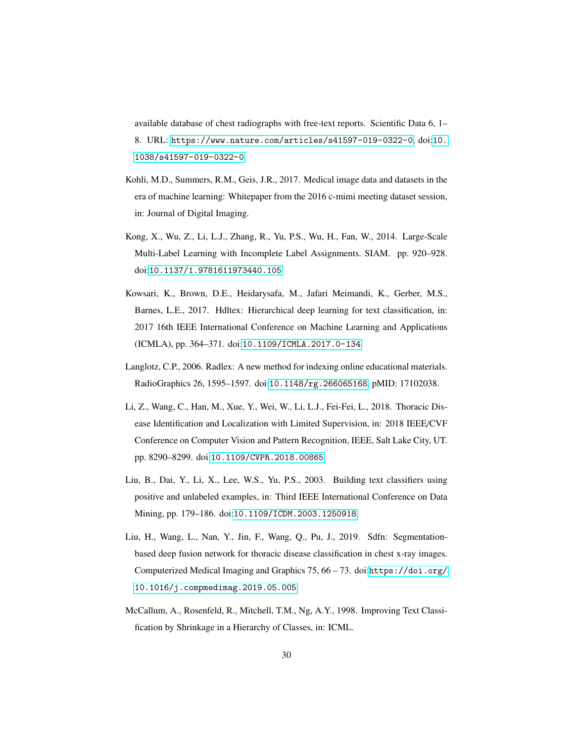available database of chest radiographs with free-text reports. Scientific Data 6, 1– 8. URL: <https://www.nature.com/articles/s41597-019-0322-0>, doi:[10.](http://dx.doi.org/10.1038/s41597-019-0322-0) [1038/s41597-019-0322-0](http://dx.doi.org/10.1038/s41597-019-0322-0).

- <span id="page-29-1"></span>Kohli, M.D., Summers, R.M., Geis, J.R., 2017. Medical image data and datasets in the era of machine learning: Whitepaper from the 2016 c-mimi meeting dataset session, in: Journal of Digital Imaging.
- <span id="page-29-6"></span>Kong, X., Wu, Z., Li, L.J., Zhang, R., Yu, P.S., Wu, H., Fan, W., 2014. Large-Scale Multi-Label Learning with Incomplete Label Assignments. SIAM. pp. 920–928. doi:[10.1137/1.9781611973440.105](http://dx.doi.org/10.1137/1.9781611973440.105).
- <span id="page-29-5"></span>Kowsari, K., Brown, D.E., Heidarysafa, M., Jafari Meimandi, K., Gerber, M.S., Barnes, L.E., 2017. Hdltex: Hierarchical deep learning for text classification, in: 2017 16th IEEE International Conference on Machine Learning and Applications (ICMLA), pp. 364–371. doi:[10.1109/ICMLA.2017.0-134](http://dx.doi.org/10.1109/ICMLA.2017.0-134).
- <span id="page-29-0"></span>Langlotz, C.P., 2006. Radlex: A new method for indexing online educational materials. RadioGraphics 26, 1595–1597. doi:[10.1148/rg.266065168](http://dx.doi.org/10.1148/rg.266065168). pMID: 17102038.
- <span id="page-29-3"></span>Li, Z., Wang, C., Han, M., Xue, Y., Wei, W., Li, L.J., Fei-Fei, L., 2018. Thoracic Disease Identification and Localization with Limited Supervision, in: 2018 IEEE/CVF Conference on Computer Vision and Pattern Recognition, IEEE, Salt Lake City, UT. pp. 8290–8299. doi:[10.1109/CVPR.2018.00865](http://dx.doi.org/10.1109/CVPR.2018.00865).
- <span id="page-29-7"></span>Liu, B., Dai, Y., Li, X., Lee, W.S., Yu, P.S., 2003. Building text classifiers using positive and unlabeled examples, in: Third IEEE International Conference on Data Mining, pp. 179–186. doi:[10.1109/ICDM.2003.1250918](http://dx.doi.org/10.1109/ICDM.2003.1250918).
- <span id="page-29-2"></span>Liu, H., Wang, L., Nan, Y., Jin, F., Wang, Q., Pu, J., 2019. Sdfn: Segmentationbased deep fusion network for thoracic disease classification in chest x-ray images. Computerized Medical Imaging and Graphics 75, 66 – 73. doi:[https://doi.org/](http://dx.doi.org/https://doi.org/10.1016/j.compmedimag.2019.05.005) [10.1016/j.compmedimag.2019.05.005](http://dx.doi.org/https://doi.org/10.1016/j.compmedimag.2019.05.005).
- <span id="page-29-4"></span>McCallum, A., Rosenfeld, R., Mitchell, T.M., Ng, A.Y., 1998. Improving Text Classification by Shrinkage in a Hierarchy of Classes, in: ICML.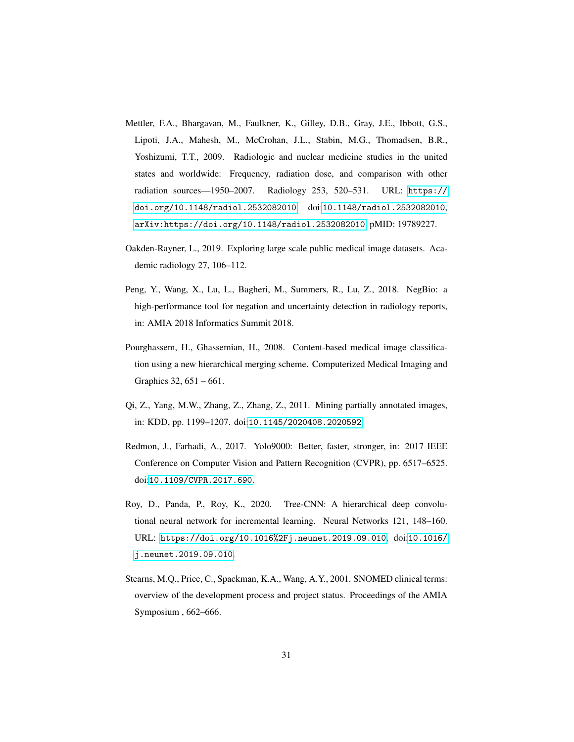- <span id="page-30-0"></span>Mettler, F.A., Bhargavan, M., Faulkner, K., Gilley, D.B., Gray, J.E., Ibbott, G.S., Lipoti, J.A., Mahesh, M., McCrohan, J.L., Stabin, M.G., Thomadsen, B.R., Yoshizumi, T.T., 2009. Radiologic and nuclear medicine studies in the united states and worldwide: Frequency, radiation dose, and comparison with other radiation sources—1950–2007. Radiology 253, 520–531. URL: [https://](https://doi.org/10.1148/radiol.2532082010) [doi.org/10.1148/radiol.2532082010](https://doi.org/10.1148/radiol.2532082010), doi:[10.1148/radiol.2532082010](http://dx.doi.org/10.1148/radiol.2532082010), [arXiv:https://doi.org/10.1148/radiol.2532082010](http://arxiv.org/abs/https://doi.org/10.1148/radiol.2532082010). pMID: 19789227.
- <span id="page-30-7"></span>Oakden-Rayner, L., 2019. Exploring large scale public medical image datasets. Academic radiology 27, 106–112.
- <span id="page-30-6"></span>Peng, Y., Wang, X., Lu, L., Bagheri, M., Summers, R., Lu, Z., 2018. NegBio: a high-performance tool for negation and uncertainty detection in radiology reports, in: AMIA 2018 Informatics Summit 2018.
- <span id="page-30-4"></span>Pourghassem, H., Ghassemian, H., 2008. Content-based medical image classification using a new hierarchical merging scheme. Computerized Medical Imaging and Graphics 32, 651 – 661.
- <span id="page-30-5"></span>Qi, Z., Yang, M.W., Zhang, Z., Zhang, Z., 2011. Mining partially annotated images, in: KDD, pp. 1199–1207. doi:[10.1145/2020408.2020592](http://dx.doi.org/10.1145/2020408.2020592).
- <span id="page-30-2"></span>Redmon, J., Farhadi, A., 2017. Yolo9000: Better, faster, stronger, in: 2017 IEEE Conference on Computer Vision and Pattern Recognition (CVPR), pp. 6517–6525. doi:[10.1109/CVPR.2017.690](http://dx.doi.org/10.1109/CVPR.2017.690).
- <span id="page-30-3"></span>Roy, D., Panda, P., Roy, K., 2020. Tree-CNN: A hierarchical deep convolutional neural network for incremental learning. Neural Networks 121, 148–160. URL: <https://doi.org/10.1016%2Fj.neunet.2019.09.010>, doi:[10.1016/](http://dx.doi.org/10.1016/j.neunet.2019.09.010) [j.neunet.2019.09.010](http://dx.doi.org/10.1016/j.neunet.2019.09.010).
- <span id="page-30-1"></span>Stearns, M.Q., Price, C., Spackman, K.A., Wang, A.Y., 2001. SNOMED clinical terms: overview of the development process and project status. Proceedings of the AMIA Symposium , 662–666.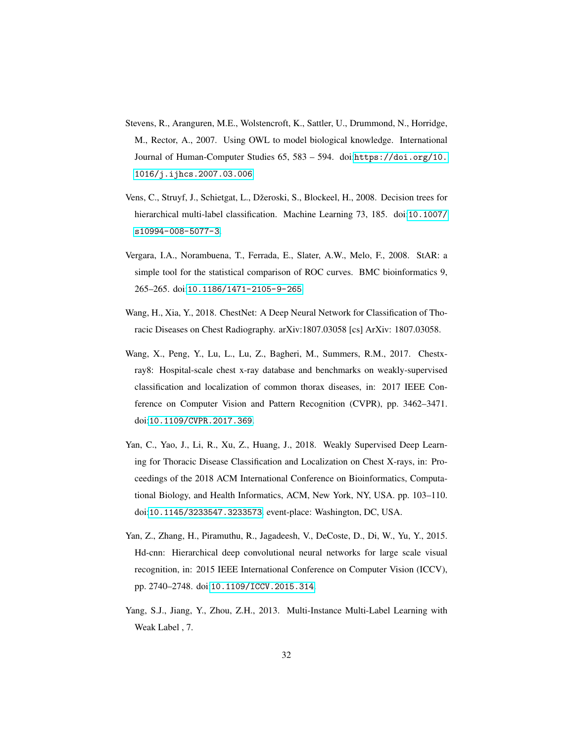- <span id="page-31-1"></span>Stevens, R., Aranguren, M.E., Wolstencroft, K., Sattler, U., Drummond, N., Horridge, M., Rector, A., 2007. Using OWL to model biological knowledge. International Journal of Human-Computer Studies 65, 583 – 594. doi:[https://doi.org/10.](http://dx.doi.org/https://doi.org/10.1016/j.ijhcs.2007.03.006) [1016/j.ijhcs.2007.03.006](http://dx.doi.org/https://doi.org/10.1016/j.ijhcs.2007.03.006).
- <span id="page-31-4"></span>Vens, C., Struyf, J., Schietgat, L., Džeroski, S., Blockeel, H., 2008. Decision trees for hierarchical multi-label classification. Machine Learning 73, 185. doi:[10.1007/](http://dx.doi.org/10.1007/s10994-008-5077-3) [s10994-008-5077-3](http://dx.doi.org/10.1007/s10994-008-5077-3).
- <span id="page-31-7"></span>Vergara, I.A., Norambuena, T., Ferrada, E., Slater, A.W., Melo, F., 2008. StAR: a simple tool for the statistical comparison of ROC curves. BMC bioinformatics 9, 265–265. doi:[10.1186/1471-2105-9-265](http://dx.doi.org/10.1186/1471-2105-9-265).
- <span id="page-31-2"></span>Wang, H., Xia, Y., 2018. ChestNet: A Deep Neural Network for Classification of Thoracic Diseases on Chest Radiography. arXiv:1807.03058 [cs] ArXiv: 1807.03058.
- <span id="page-31-0"></span>Wang, X., Peng, Y., Lu, L., Lu, Z., Bagheri, M., Summers, R.M., 2017. Chestxray8: Hospital-scale chest x-ray database and benchmarks on weakly-supervised classification and localization of common thorax diseases, in: 2017 IEEE Conference on Computer Vision and Pattern Recognition (CVPR), pp. 3462–3471. doi:[10.1109/CVPR.2017.369](http://dx.doi.org/10.1109/CVPR.2017.369).
- <span id="page-31-3"></span>Yan, C., Yao, J., Li, R., Xu, Z., Huang, J., 2018. Weakly Supervised Deep Learning for Thoracic Disease Classification and Localization on Chest X-rays, in: Proceedings of the 2018 ACM International Conference on Bioinformatics, Computational Biology, and Health Informatics, ACM, New York, NY, USA. pp. 103–110. doi:[10.1145/3233547.3233573](http://dx.doi.org/10.1145/3233547.3233573). event-place: Washington, DC, USA.
- <span id="page-31-5"></span>Yan, Z., Zhang, H., Piramuthu, R., Jagadeesh, V., DeCoste, D., Di, W., Yu, Y., 2015. Hd-cnn: Hierarchical deep convolutional neural networks for large scale visual recognition, in: 2015 IEEE International Conference on Computer Vision (ICCV), pp. 2740–2748. doi:[10.1109/ICCV.2015.314](http://dx.doi.org/10.1109/ICCV.2015.314).
- <span id="page-31-6"></span>Yang, S.J., Jiang, Y., Zhou, Z.H., 2013. Multi-Instance Multi-Label Learning with Weak Label , 7.